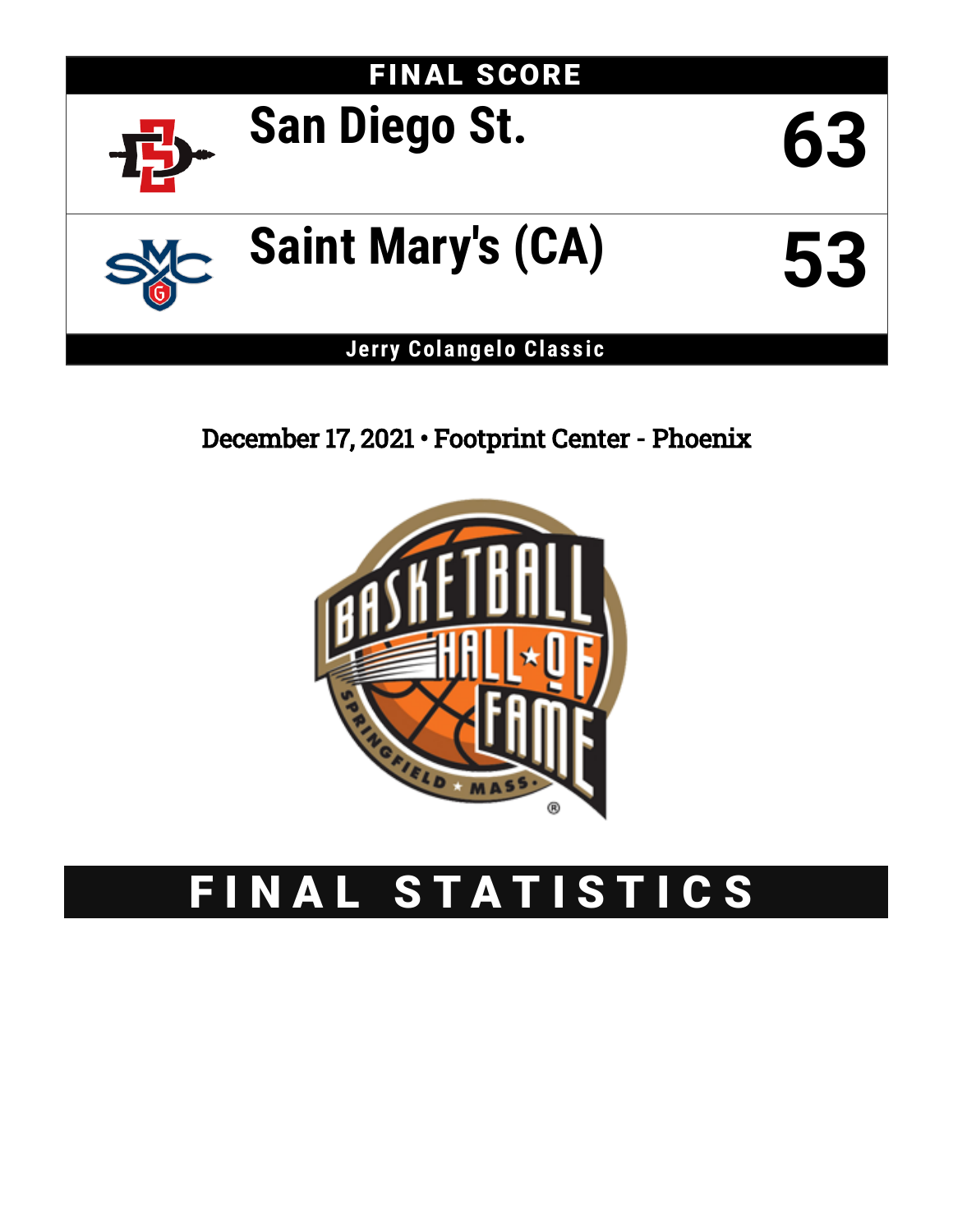

December 17, 2021 • Footprint Center - Phoenix



# FINAL STATISTICS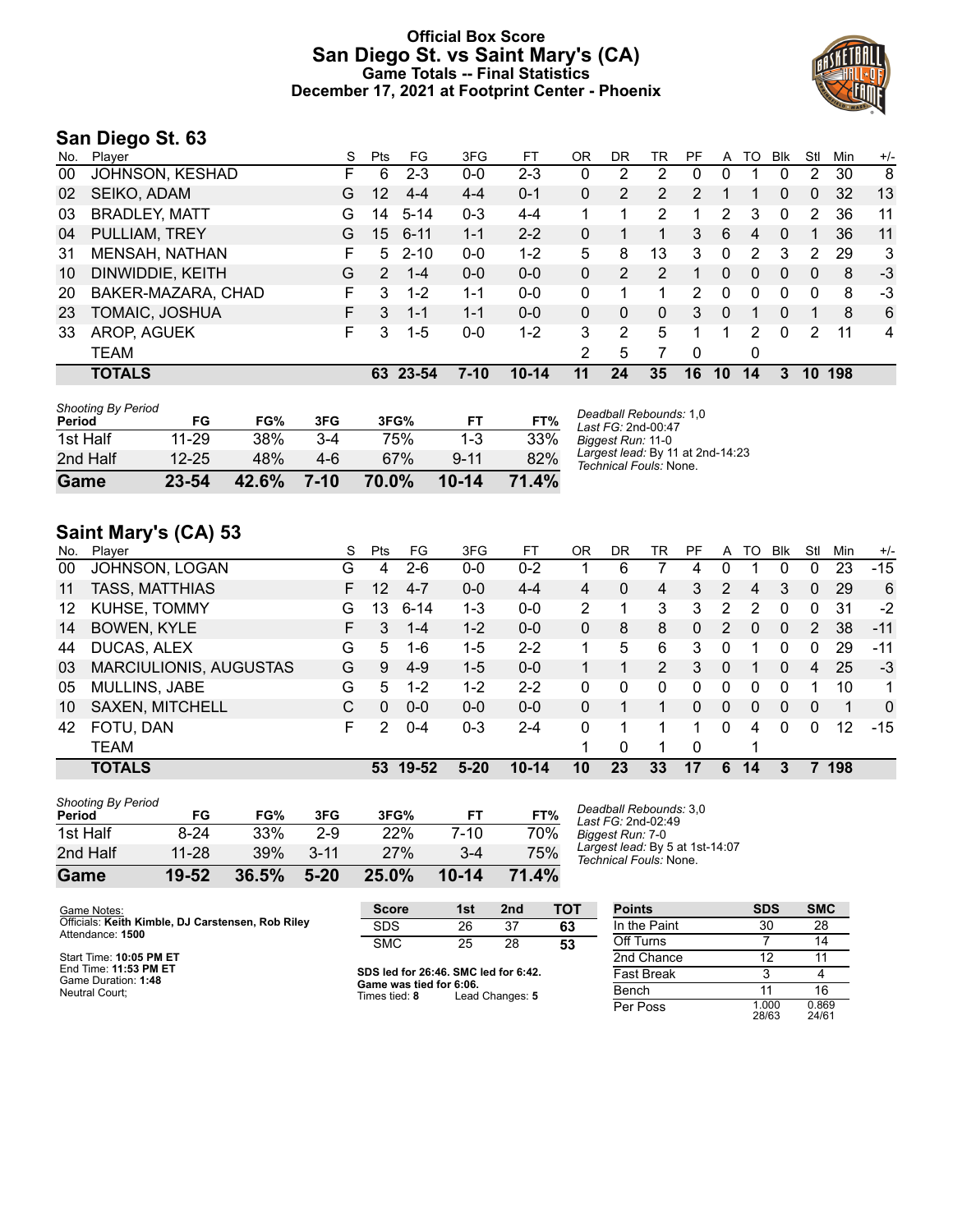## **Official Box Score San Diego St. vs Saint Mary's (CA) Game Totals -- Final Statistics December 17, 2021 at Footprint Center - Phoenix**



## **San Diego St. 63**

| No. | Plaver               | S  | Pts             | FG       | 3FG     | FT.       | OR            | DR | TR             | РF       | A        | TO | <b>B</b> lk | Stl          | Min | $+/-$ |
|-----|----------------------|----|-----------------|----------|---------|-----------|---------------|----|----------------|----------|----------|----|-------------|--------------|-----|-------|
| 00  | JOHNSON, KESHAD      | F. | 6               | $2 - 3$  | $0 - 0$ | $2 - 3$   | 0             | 2  | 2              | 0        | 0        |    | $\Omega$    | 2            | 30  | 8     |
| 02  | SEIKO, ADAM          | G  | 12              | $4 - 4$  | $4 - 4$ | $0 - 1$   | 0             | 2  | $\overline{2}$ | 2        |          |    | $\Omega$    | $\mathbf{0}$ | 32  | 13    |
| 03  | <b>BRADLEY, MATT</b> | G  | 14              | $5 - 14$ | $0 - 3$ | $4 - 4$   |               | 1  | 2              | 1        | 2        | 3  | 0           | 2            | 36  | 11    |
| 04  | PULLIAM, TREY        | G  | 15 <sup>1</sup> | $6 - 11$ | $1 - 1$ | $2 - 2$   | 0             | 1  |                | 3        | 6        | 4  | $\Omega$    | 1            | 36  | 11    |
| 31  | MENSAH, NATHAN       | F  | 5               | $2 - 10$ | $0 - 0$ | $1 - 2$   | 5             | 8  | 13             | 3        | $\Omega$ | 2  | 3           | 2            | 29  | 3     |
| 10  | DINWIDDIE, KEITH     | G  | $\mathcal{P}$   | $1 - 4$  | $0 - 0$ | $0 - 0$   | 0             | 2  | 2              | 1        | 0        | 0  | $\Omega$    | 0            | 8   | $-3$  |
| 20  | BAKER-MAZARA, CHAD   | F. | 3               | $1 - 2$  | 1-1     | $0-0$     | 0             | 4  |                | 2        | 0        | 0  | 0           | 0            | 8   | -3    |
| 23  | TOMAIC, JOSHUA       | F. | 3               | $1 - 1$  | $1 - 1$ | $0 - 0$   | 0             | 0  | $\Omega$       | 3        | $\Omega$ |    | $\Omega$    |              | 8   | 6     |
| 33  | AROP, AGUEK          | F. | 3               | $1 - 5$  | 0-0     | $1 - 2$   | 3             | 2  | 5              |          |          | 2  | $\Omega$    | 2            | 11  | 4     |
|     | TEAM                 |    |                 |          |         |           | $\mathcal{P}$ | 5  |                | $\Omega$ |          | 0  |             |              |     |       |
|     | <b>TOTALS</b>        |    | 63              | - 23-54  | 7-10    | $10 - 14$ | 11            | 24 | 35             | 16       | 10       | 14 | 3           | 10           | 198 |       |

| Game                                | 23-54              | 42.6%      | $7-10$       | 70.0%      | $10 - 14$           | 71.4%      |  |
|-------------------------------------|--------------------|------------|--------------|------------|---------------------|------------|--|
| 1st Half<br>2nd Half                | 11-29<br>$12 - 25$ | 38%<br>48% | $3-4$<br>4-6 | 75%<br>67% | $1 - 3$<br>$9 - 11$ | 33%<br>82% |  |
| <b>Shooting By Period</b><br>Period | FG                 | FG%        | 3FG          | 3FG%       | FТ                  | FT%        |  |

*Deadball Rebounds:* 1,0 *Last FG:* 2nd-00:47 *Biggest Run:* 11-0 *Largest lead:* By 11 at 2nd-14:23 *Technical Fouls:* None.

## **Saint Mary's (CA) 53**

| No. | Player                        | S  | Pts           | FG       | 3FG     | FT        | OR | DR | TR             | PF       | A        | TO | <b>B</b> lk  | Stl      | Min | $+/-$          |
|-----|-------------------------------|----|---------------|----------|---------|-----------|----|----|----------------|----------|----------|----|--------------|----------|-----|----------------|
| 00  | JOHNSON, LOGAN                | G  | 4             | $2-6$    | $0-0$   | $0 - 2$   |    | 6  |                | 4        |          |    | 0            | $\Omega$ | 23  | $-15$          |
| 11  | <b>TASS, MATTHIAS</b>         | F. | 12            | $4 - 7$  | $0 - 0$ | $4 - 4$   | 4  | 0  | 4              | 3        | 2        | 4  | 3            | $\Omega$ | 29  | 6              |
| 12  | <b>KUHSE, TOMMY</b>           | G  | 13            | $6 - 14$ | $1 - 3$ | $0 - 0$   | 2  |    | 3              | 3        | 2        | 2  | 0            | $\Omega$ | 31  | $-2$           |
| 14  | <b>BOWEN, KYLE</b>            | F. | 3             | $1 - 4$  | $1 - 2$ | $0 - 0$   | 0  | 8  | 8              | 0        | 2        | 0  | $\Omega$     | 2        | 38  | $-11$          |
| 44  | DUCAS, ALEX                   | G  | 5.            | 1-6      | 1-5     | $2 - 2$   | 1. | 5  | 6              | 3        | 0        |    | 0            | 0        | 29  | $-11$          |
| 03  | <b>MARCIULIONIS, AUGUSTAS</b> | G  | 9             | $4-9$    | $1 - 5$ | $0 - 0$   |    |    | $\overline{2}$ | 3        | 0        |    | $\mathbf{0}$ | 4        | 25  | $-3$           |
| 05  | <b>MULLINS, JABE</b>          | G  | 5.            | $1 - 2$  | $1 - 2$ | $2 - 2$   | 0  | 0  | $\Omega$       | 0        | 0        | 0  | $\Omega$     |          | 10  | 1.             |
| 10  | <b>SAXEN, MITCHELL</b>        | C  | 0             | $0 - 0$  | $0 - 0$ | $0 - 0$   | 0  |    |                | 0        | $\Omega$ | 0  | $\Omega$     | $\Omega$ |     | $\overline{0}$ |
| 42  | FOTU, DAN                     | F  | $\mathcal{P}$ | $0 - 4$  | $0 - 3$ | $2 - 4$   | 0  |    |                | 1.       | $\Omega$ | 4  | $\Omega$     | $\Omega$ | 12  | $-15$          |
|     | <b>TEAM</b>                   |    |               |          |         |           |    | 0  |                | $\Omega$ |          |    |              |          |     |                |
|     | <b>TOTALS</b>                 |    | 53            | 19-52    | $5-20$  | $10 - 14$ | 10 | 23 | 33             | 17       | 6        | 14 |              |          | 198 |                |

| <b>Shooting By Period</b> |       |       |          |            |           |       |
|---------------------------|-------|-------|----------|------------|-----------|-------|
| Period                    | FG    | FG%   | 3FG      | 3FG%       | FТ        | FT%   |
| 1st Half                  | 8-24  | 33%   | $2-9$    | <b>22%</b> | 7-10      | 70%   |
| 2nd Half                  | 11-28 | 39%   | $3 - 11$ | 27%        | 3-4       | 75%   |
| Game                      | 19-52 | 36.5% | $5 - 20$ | 25.0%      | $10 - 14$ | 71.4% |

*Deadball Rebounds:* 3,0 *Last FG:* 2nd-02:49 *Biggest Run:* 7-0 *Largest lead:* By 5 at 1st-14:07 *Technical Fouls:* None.

| Game Notes:                                                           | <b>Score</b>                             | 1st | 2 <sub>nd</sub> | TOT | <b>Points</b>     | <b>SDS</b>     | <b>SMC</b>     |
|-----------------------------------------------------------------------|------------------------------------------|-----|-----------------|-----|-------------------|----------------|----------------|
| Officials: Keith Kimble, DJ Carstensen, Rob Riley<br>Attendance: 1500 | <b>SDS</b>                               | 26  | 37              | 63  | In the Paint      | 30             | 28             |
|                                                                       | <b>SMC</b>                               | 25  | 28              | 53  | Off Turns         |                | 14             |
| Start Time: 10:05 PM ET                                               |                                          |     |                 |     | 2nd Chance        | 12             |                |
| End Time: 11:53 PM ET<br>Game Duration: 1:48                          | SDS led for 26:46. SMC led for 6:42.     |     |                 |     | <b>Fast Break</b> |                |                |
| Neutral Court:                                                        | Game was tied for 6:06.<br>Times tied: 8 |     | Lead Changes: 5 |     | Bench             |                | 16             |
|                                                                       |                                          |     |                 |     | Per Poss          | 1.000<br>28/63 | 0.869<br>24/61 |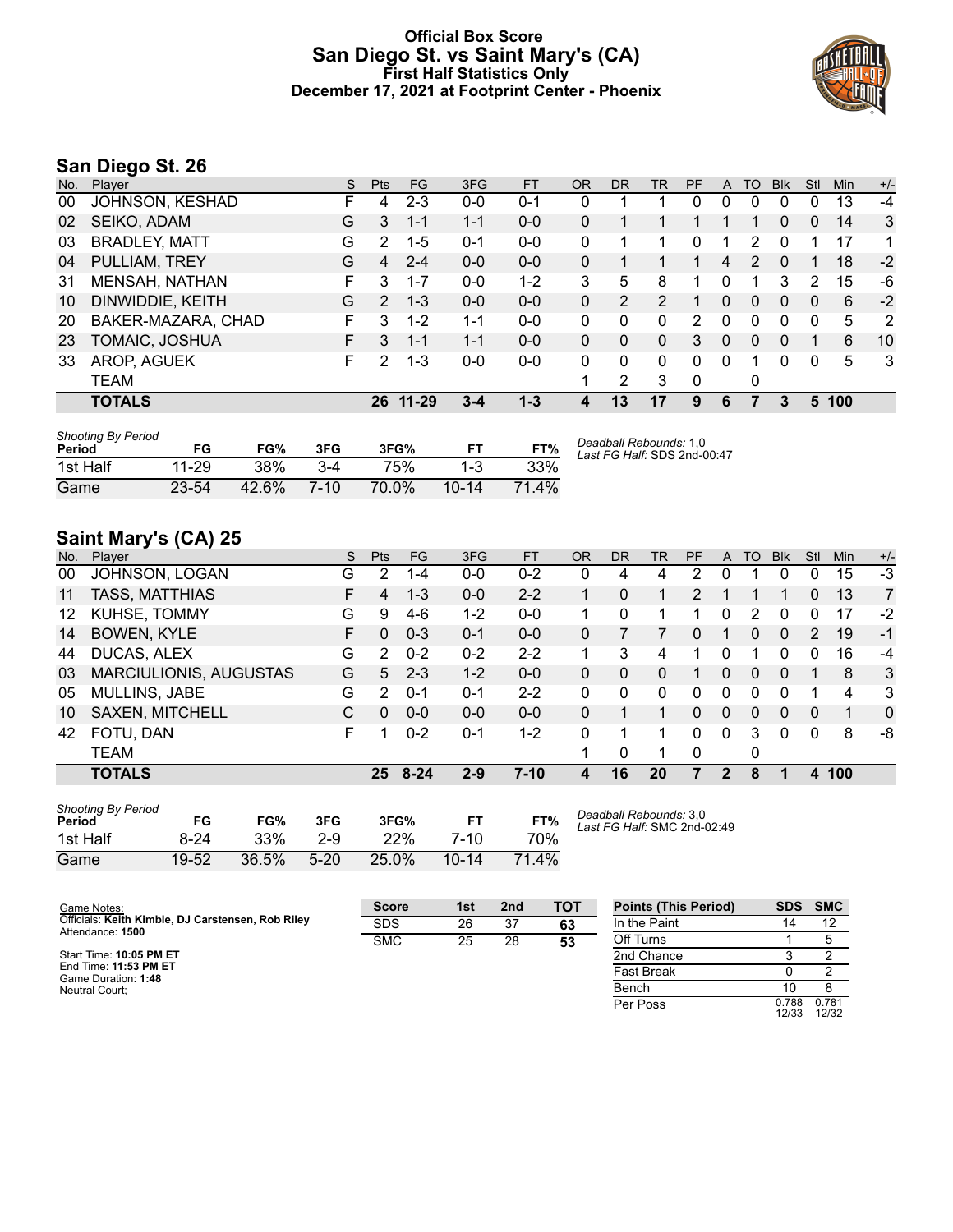## **Official Box Score San Diego St. vs Saint Mary's (CA) First Half Statistics Only December 17, 2021 at Footprint Center - Phoenix**



# **San Diego St. 26**

| No. | Player                | S. | <b>Pts</b>    | <b>FG</b> | 3FG     | <b>FT</b> | <b>OR</b> | <b>DR</b> | <b>TR</b>      | PF       | A | TO           | <b>B</b> lk | Stl          | Min | $+/-$ |
|-----|-----------------------|----|---------------|-----------|---------|-----------|-----------|-----------|----------------|----------|---|--------------|-------------|--------------|-----|-------|
| 00  | JOHNSON, KESHAD       | н. | 4             | $2 - 3$   | $0 - 0$ | $0 - 1$   | 0         |           |                | 0        | 0 | 0            | 0           | 0            | 13  | -4    |
| 02  | SEIKO, ADAM           | G  | 3             | $1 - 1$   | $1 - 1$ | $0 - 0$   | 0         |           |                |          |   |              | 0           | $\mathbf{0}$ | 14  | 3     |
| 03  | <b>BRADLEY, MATT</b>  | G  | 2             | $1-5$     | $0 - 1$ | $0 - 0$   | 0         | 1         |                | 0        | 1 | 2            | 0           |              | 17  | 1     |
| 04  | PULLIAM, TREY         | G  | 4             | $2 - 4$   | $0 - 0$ | $0 - 0$   | 0         |           |                |          | 4 | 2            | $\Omega$    |              | 18  | $-2$  |
| 31  | <b>MENSAH, NATHAN</b> | F. | 3             | $1 - 7$   | $0 - 0$ | $1 - 2$   | 3         | 5         | 8              |          | 0 |              | 3           | 2            | 15  | -6    |
| 10  | DINWIDDIE, KEITH      | G  | $\mathcal{P}$ | $1 - 3$   | $0 - 0$ | $0 - 0$   | 0         | 2         | $\overline{2}$ |          | 0 | 0            | 0           | 0            | 6   | $-2$  |
| 20  | BAKER-MAZARA, CHAD    | F. | 3             | $1 - 2$   | $1 - 1$ | $0 - 0$   | 0         | 0         | 0              | 2        | 0 | 0            | 0           | 0            | 5   | -2    |
| 23  | TOMAIC, JOSHUA        | F. | 3             | $1 - 1$   | $1 - 1$ | $0 - 0$   | 0         | 0         | $\Omega$       | 3.       | 0 | $\mathbf{0}$ | $\Omega$    |              | 6   | 10    |
| 33  | AROP, AGUEK           | F. | 2             | 1-3       | $0 - 0$ | $0 - 0$   | $\Omega$  | 0         | 0              | $\Omega$ | 0 |              | 0           | 0            | 5   | 3     |
|     | TEAM                  |    |               |           |         |           |           | 2         | 3              | 0        |   | 0            |             |              |     |       |
|     | <b>TOTALS</b>         |    |               | 26 11-29  | $3 - 4$ | $1 - 3$   | 4         | 13        | 17             | 9        | 6 |              |             | 5.           | 100 |       |

| <b>Shooting By Period</b><br>Period | FG    | FG%   | 3FG     | 3FG%  | FТ        | FT%   | Deadball Rebounds: 1,0<br>Last FG Half: SDS 2nd-00:47 |
|-------------------------------------|-------|-------|---------|-------|-----------|-------|-------------------------------------------------------|
| 1st Half                            | 11-29 | 38%   | $3 - 4$ | 75%   |           | 33%   |                                                       |
| Game                                | 23-54 | 42.6% | $7-10$  | 70.0% | $10 - 14$ | 71 4% |                                                       |

# **Saint Mary's (CA) 25**

| No. | Player                        | S. | <b>Pts</b>     | <b>FG</b> | 3FG     | <b>FT</b> | <b>OR</b> | <b>DR</b> | <b>TR</b>    | PF            | A | TO       | <b>Blk</b> | Stl      | Min | $+/-$          |
|-----|-------------------------------|----|----------------|-----------|---------|-----------|-----------|-----------|--------------|---------------|---|----------|------------|----------|-----|----------------|
| 00  | JOHNSON, LOGAN                | G  | 2              | 1-4       | $0 - 0$ | $0 - 2$   | 0         | 4         | 4            | 2             | 0 |          | 0          | 0        | 15  | $-3$           |
| 11  | <b>TASS, MATTHIAS</b>         | F  | 4              | $1 - 3$   | $0 - 0$ | $2 - 2$   |           | 0         | 1            | $\mathcal{P}$ |   |          |            | 0        | 13  | $\overline{7}$ |
| 12  | KUHSE, TOMMY                  | G  | 9              | $4-6$     | $1 - 2$ | $0-0$     |           | 0         |              |               | 0 | 2        | 0          | 0        | 17  | $-2$           |
| 14  | <b>BOWEN, KYLE</b>            | F. | 0              | $0 - 3$   | $0 - 1$ | $0 - 0$   | 0         |           |              | 0             |   | 0        | 0          | 2        | 19  | $-1$           |
| 44  | DUCAS, ALEX                   | G  | 2              | $0 - 2$   | $0 - 2$ | $2 - 2$   |           | 3         | 4            |               | 0 |          | 0          | 0        | 16  | -4             |
| 03  | <b>MARCIULIONIS, AUGUSTAS</b> | G  | $5^{\circ}$    | $2 - 3$   | $1 - 2$ | $0 - 0$   | 0         | 0         | $\mathbf{0}$ |               | 0 | $\Omega$ | 0          |          | 8   | 3              |
| 05  | MULLINS, JABE                 | G  | $\overline{2}$ | $0 - 1$   | $0 - 1$ | $2 - 2$   | 0         | 0         | $\Omega$     | 0             | 0 | $\Omega$ | 0          |          | 4   | 3              |
| 10  | SAXEN, MITCHELL               | C  | 0              | $0 - 0$   | $0 - 0$ | $0 - 0$   | 0         |           |              | $\Omega$      | 0 | $\Omega$ | 0          | $\Omega$ | 1   | $\mathbf{0}$   |
| 42  | FOTU, DAN                     | F  |                | $0 - 2$   | $0 - 1$ | $1 - 2$   | 0         |           |              | 0             | 0 | 3        | 0          | $\Omega$ | 8   | -8             |
|     | <b>TEAM</b>                   |    |                |           |         |           |           | 0         | 1            | $\Omega$      |   | 0        |            |          |     |                |
|     | <b>TOTALS</b>                 |    | 25             | $8 - 24$  | $2 - 9$ | $7-10$    | 4         | 16        | 20           |               | 2 | 8        |            | 4        | 100 |                |

| <b>Shooting By Period</b><br>Period | FG        | FG%   | 3FG      | 3FG%  | FТ        | FT%   |
|-------------------------------------|-----------|-------|----------|-------|-----------|-------|
| 1st Half                            | 8-24      | 33%   | $2-9$    | 22%   | 7-10      | 70%   |
| Game                                | $19 - 52$ | 36.5% | $5 - 20$ | 25.0% | $10 - 14$ | 71.4% |

*Deadball Rebounds:* 3,0 *Last FG Half:* SMC 2nd-02:49

| Game Notes:                                                           | <b>Score</b> | 1st | 2 <sub>nd</sub> | <b>TOT</b> | <b>Points (This Period)</b> | <b>SDS</b>     | <b>SMC</b>     |
|-----------------------------------------------------------------------|--------------|-----|-----------------|------------|-----------------------------|----------------|----------------|
| Officials: Keith Kimble, DJ Carstensen, Rob Riley<br>Attendance: 1500 | <b>SDS</b>   | 26  | 37              | 63         | In the Paint                |                | 12             |
|                                                                       | <b>SMC</b>   | 25  | 28              | 53         | Off Turns                   |                |                |
| Start Time: 10:05 PM ET                                               |              |     |                 |            | 2nd Chance                  |                |                |
| End Time: 11:53 PM ET<br>Game Duration: 1:48                          |              |     |                 |            | <b>Fast Break</b>           |                |                |
| Neutral Court:                                                        |              |     |                 |            | Bench                       | 10             |                |
|                                                                       |              |     |                 |            | Per Poss                    | 0.788<br>12/33 | 0.781<br>12/32 |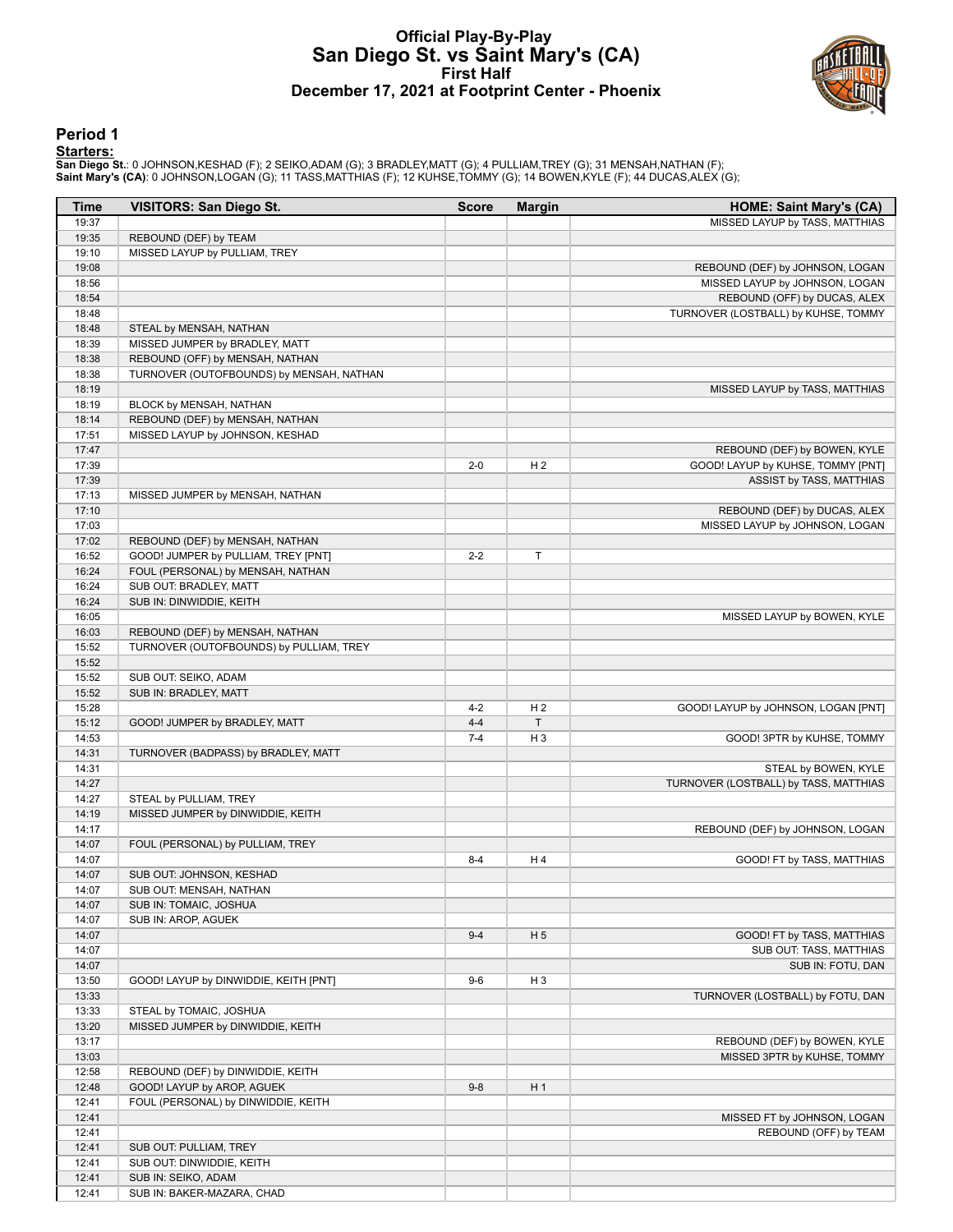## **Official Play-By-Play San Diego St. vs Saint Mary's (CA) First Half December 17, 2021 at Footprint Center - Phoenix**



### **Period 1**

#### **Starters:**

San Diego St.: 0 JOHNSON,KESHAD (F); 2 SEIKO,ADAM (G); 3 BRADLEY,MATT (G); 4 PULLIAM,TREY (G); 31 MENSAH,NATHAN (F);<br>Saint **Mary's (CA)**: 0 JOHNSON,LOGAN (G); 11 TASS,MATTHIAS (F); 12 KUHSE,TOMMY (G); 14 BOWEN,KYLE (F); 44

| Time           | <b>VISITORS: San Diego St.</b>           | <b>Score</b> | <b>Margin</b>  | <b>HOME: Saint Mary's (CA)</b>                                 |
|----------------|------------------------------------------|--------------|----------------|----------------------------------------------------------------|
| 19:37          |                                          |              |                | MISSED LAYUP by TASS, MATTHIAS                                 |
| 19:35          | REBOUND (DEF) by TEAM                    |              |                |                                                                |
| 19:10          | MISSED LAYUP by PULLIAM, TREY            |              |                |                                                                |
| 19:08          |                                          |              |                | REBOUND (DEF) by JOHNSON, LOGAN                                |
| 18:56          |                                          |              |                | MISSED LAYUP by JOHNSON, LOGAN                                 |
| 18:54          |                                          |              |                | REBOUND (OFF) by DUCAS, ALEX                                   |
| 18:48          |                                          |              |                | TURNOVER (LOSTBALL) by KUHSE, TOMMY                            |
| 18:48          | STEAL by MENSAH, NATHAN                  |              |                |                                                                |
| 18:39          | MISSED JUMPER by BRADLEY, MATT           |              |                |                                                                |
| 18:38          | REBOUND (OFF) by MENSAH, NATHAN          |              |                |                                                                |
| 18:38          | TURNOVER (OUTOFBOUNDS) by MENSAH, NATHAN |              |                |                                                                |
| 18:19          |                                          |              |                | MISSED LAYUP by TASS, MATTHIAS                                 |
| 18:19          | BLOCK by MENSAH, NATHAN                  |              |                |                                                                |
| 18:14          | REBOUND (DEF) by MENSAH, NATHAN          |              |                |                                                                |
| 17:51          | MISSED LAYUP by JOHNSON, KESHAD          |              |                |                                                                |
| 17:47          |                                          |              |                | REBOUND (DEF) by BOWEN, KYLE                                   |
| 17:39          |                                          | $2 - 0$      | H <sub>2</sub> | GOOD! LAYUP by KUHSE, TOMMY [PNT]                              |
| 17:39<br>17:13 |                                          |              |                | ASSIST by TASS, MATTHIAS                                       |
| 17:10          | MISSED JUMPER by MENSAH, NATHAN          |              |                |                                                                |
| 17:03          |                                          |              |                | REBOUND (DEF) by DUCAS, ALEX<br>MISSED LAYUP by JOHNSON, LOGAN |
| 17:02          | REBOUND (DEF) by MENSAH, NATHAN          |              |                |                                                                |
| 16:52          | GOOD! JUMPER by PULLIAM, TREY [PNT]      | $2 - 2$      | $\mathsf T$    |                                                                |
| 16:24          | FOUL (PERSONAL) by MENSAH, NATHAN        |              |                |                                                                |
| 16:24          | SUB OUT: BRADLEY, MATT                   |              |                |                                                                |
| 16:24          | SUB IN: DINWIDDIE, KEITH                 |              |                |                                                                |
| 16:05          |                                          |              |                | MISSED LAYUP by BOWEN, KYLE                                    |
| 16:03          | REBOUND (DEF) by MENSAH, NATHAN          |              |                |                                                                |
| 15:52          | TURNOVER (OUTOFBOUNDS) by PULLIAM, TREY  |              |                |                                                                |
| 15:52          |                                          |              |                |                                                                |
| 15:52          | SUB OUT: SEIKO, ADAM                     |              |                |                                                                |
| 15:52          | SUB IN: BRADLEY, MATT                    |              |                |                                                                |
| 15:28          |                                          | $4 - 2$      | H <sub>2</sub> | GOOD! LAYUP by JOHNSON, LOGAN [PNT]                            |
| 15:12          | GOOD! JUMPER by BRADLEY, MATT            | $4 - 4$      | $\mathsf T$    |                                                                |
| 14:53          |                                          | $7 - 4$      | $H_3$          | GOOD! 3PTR by KUHSE, TOMMY                                     |
| 14:31          | TURNOVER (BADPASS) by BRADLEY, MATT      |              |                |                                                                |
| 14:31          |                                          |              |                | STEAL by BOWEN, KYLE                                           |
| 14:27          |                                          |              |                | TURNOVER (LOSTBALL) by TASS, MATTHIAS                          |
| 14:27          | STEAL by PULLIAM, TREY                   |              |                |                                                                |
| 14:19          | MISSED JUMPER by DINWIDDIE, KEITH        |              |                |                                                                |
| 14:17          |                                          |              |                | REBOUND (DEF) by JOHNSON, LOGAN                                |
| 14:07          | FOUL (PERSONAL) by PULLIAM, TREY         |              |                |                                                                |
| 14:07          |                                          | $8 - 4$      | H 4            | GOOD! FT by TASS, MATTHIAS                                     |
| 14:07          | SUB OUT: JOHNSON, KESHAD                 |              |                |                                                                |
| 14:07          | SUB OUT: MENSAH, NATHAN                  |              |                |                                                                |
| 14:07          | SUB IN: TOMAIC, JOSHUA                   |              |                |                                                                |
| 14:07          | SUB IN: AROP, AGUEK                      |              |                |                                                                |
| 14:07<br>14:07 |                                          | $9 - 4$      | H <sub>5</sub> | GOOD! FT by TASS, MATTHIAS<br>SUB OUT: TASS, MATTHIAS          |
| 14:07          |                                          |              |                | SUB IN: FOTU, DAN                                              |
| 13:50          | GOOD! LAYUP by DINWIDDIE, KEITH [PNT]    | $9-6$        | $H_3$          |                                                                |
| 13:33          |                                          |              |                | TURNOVER (LOSTBALL) by FOTU, DAN                               |
| 13:33          | STEAL by TOMAIC, JOSHUA                  |              |                |                                                                |
| 13:20          | MISSED JUMPER by DINWIDDIE, KEITH        |              |                |                                                                |
| 13:17          |                                          |              |                | REBOUND (DEF) by BOWEN, KYLE                                   |
| 13:03          |                                          |              |                | MISSED 3PTR by KUHSE, TOMMY                                    |
| 12:58          | REBOUND (DEF) by DINWIDDIE, KEITH        |              |                |                                                                |
| 12:48          | GOOD! LAYUP by AROP, AGUEK               | $9 - 8$      | H <sub>1</sub> |                                                                |
| 12:41          | FOUL (PERSONAL) by DINWIDDIE, KEITH      |              |                |                                                                |
| 12:41          |                                          |              |                | MISSED FT by JOHNSON, LOGAN                                    |
| 12:41          |                                          |              |                | REBOUND (OFF) by TEAM                                          |
| 12:41          | SUB OUT: PULLIAM, TREY                   |              |                |                                                                |
| 12:41          | SUB OUT: DINWIDDIE, KEITH                |              |                |                                                                |
| 12:41          | SUB IN: SEIKO, ADAM                      |              |                |                                                                |
| 12:41          | SUB IN: BAKER-MAZARA, CHAD               |              |                |                                                                |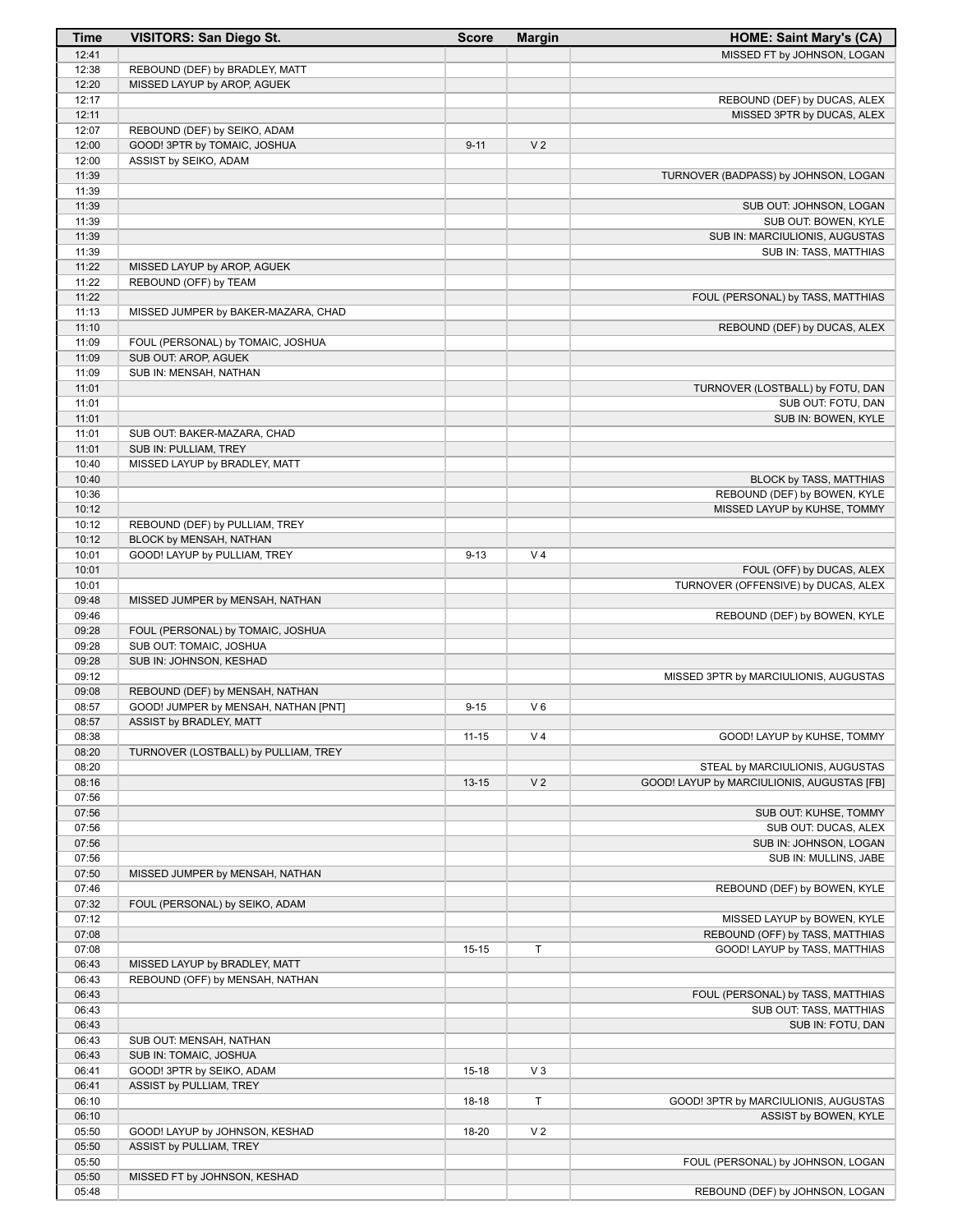| <b>Time</b>    | <b>VISITORS: San Diego St.</b>                            | <b>Score</b> | <b>Margin</b>  | <b>HOME: Saint Mary's (CA)</b>             |
|----------------|-----------------------------------------------------------|--------------|----------------|--------------------------------------------|
| 12:41          |                                                           |              |                | MISSED FT by JOHNSON, LOGAN                |
| 12:38          | REBOUND (DEF) by BRADLEY, MATT                            |              |                |                                            |
| 12:20          | MISSED LAYUP by AROP, AGUEK                               |              |                |                                            |
| 12:17          |                                                           |              |                | REBOUND (DEF) by DUCAS, ALEX               |
| 12:11          |                                                           |              |                | MISSED 3PTR by DUCAS, ALEX                 |
| 12:07          | REBOUND (DEF) by SEIKO, ADAM                              |              |                |                                            |
| 12:00<br>12:00 | GOOD! 3PTR by TOMAIC, JOSHUA                              | $9 - 11$     | V <sub>2</sub> |                                            |
| 11:39          | ASSIST by SEIKO, ADAM                                     |              |                | TURNOVER (BADPASS) by JOHNSON, LOGAN       |
| 11:39          |                                                           |              |                |                                            |
| 11:39          |                                                           |              |                | SUB OUT: JOHNSON, LOGAN                    |
| 11:39          |                                                           |              |                | SUB OUT: BOWEN, KYLE                       |
| 11:39          |                                                           |              |                | SUB IN: MARCIULIONIS, AUGUSTAS             |
| 11:39          |                                                           |              |                | SUB IN: TASS, MATTHIAS                     |
| 11:22          | MISSED LAYUP by AROP, AGUEK                               |              |                |                                            |
| 11:22          | REBOUND (OFF) by TEAM                                     |              |                |                                            |
| 11:22          |                                                           |              |                | FOUL (PERSONAL) by TASS, MATTHIAS          |
| 11:13          | MISSED JUMPER by BAKER-MAZARA, CHAD                       |              |                |                                            |
| 11:10          |                                                           |              |                | REBOUND (DEF) by DUCAS, ALEX               |
| 11:09          | FOUL (PERSONAL) by TOMAIC, JOSHUA<br>SUB OUT: AROP, AGUEK |              |                |                                            |
| 11:09<br>11:09 | SUB IN: MENSAH, NATHAN                                    |              |                |                                            |
| 11:01          |                                                           |              |                | TURNOVER (LOSTBALL) by FOTU, DAN           |
| 11:01          |                                                           |              |                | SUB OUT: FOTU, DAN                         |
| 11:01          |                                                           |              |                | SUB IN: BOWEN, KYLE                        |
| 11:01          | SUB OUT: BAKER-MAZARA, CHAD                               |              |                |                                            |
| 11:01          | SUB IN: PULLIAM, TREY                                     |              |                |                                            |
| 10:40          | MISSED LAYUP by BRADLEY, MATT                             |              |                |                                            |
| 10:40          |                                                           |              |                | BLOCK by TASS, MATTHIAS                    |
| 10:36          |                                                           |              |                | REBOUND (DEF) by BOWEN, KYLE               |
| 10:12          |                                                           |              |                | MISSED LAYUP by KUHSE, TOMMY               |
| 10:12          | REBOUND (DEF) by PULLIAM, TREY                            |              |                |                                            |
| 10:12          | BLOCK by MENSAH, NATHAN                                   |              |                |                                            |
| 10:01          | GOOD! LAYUP by PULLIAM, TREY                              | $9 - 13$     | V <sub>4</sub> |                                            |
| 10:01          |                                                           |              |                | FOUL (OFF) by DUCAS, ALEX                  |
| 10:01<br>09:48 | MISSED JUMPER by MENSAH, NATHAN                           |              |                | TURNOVER (OFFENSIVE) by DUCAS, ALEX        |
| 09:46          |                                                           |              |                | REBOUND (DEF) by BOWEN, KYLE               |
| 09:28          | FOUL (PERSONAL) by TOMAIC, JOSHUA                         |              |                |                                            |
| 09:28          | SUB OUT: TOMAIC, JOSHUA                                   |              |                |                                            |
| 09:28          | SUB IN: JOHNSON, KESHAD                                   |              |                |                                            |
| 09:12          |                                                           |              |                | MISSED 3PTR by MARCIULIONIS, AUGUSTAS      |
| 09:08          | REBOUND (DEF) by MENSAH, NATHAN                           |              |                |                                            |
| 08:57          | GOOD! JUMPER by MENSAH, NATHAN [PNT]                      | $9 - 15$     | $V_6$          |                                            |
| 08:57          | ASSIST by BRADLEY, MATT                                   |              |                |                                            |
| 08:38          |                                                           | $11 - 15$    | V <sub>4</sub> | GOOD! LAYUP by KUHSE, TOMMY                |
| 08:20          | TURNOVER (LOSTBALL) by PULLIAM, TREY                      |              |                |                                            |
| 08:20          |                                                           |              |                | STEAL by MARCIULIONIS, AUGUSTAS            |
| 08:16          |                                                           | $13 - 15$    | V <sub>2</sub> | GOOD! LAYUP by MARCIULIONIS, AUGUSTAS [FB] |
| 07:56<br>07:56 |                                                           |              |                | SUB OUT: KUHSE, TOMMY                      |
| 07:56          |                                                           |              |                | SUB OUT: DUCAS, ALEX                       |
| 07:56          |                                                           |              |                | SUB IN: JOHNSON, LOGAN                     |
| 07:56          |                                                           |              |                | SUB IN: MULLINS, JABE                      |
| 07:50          | MISSED JUMPER by MENSAH, NATHAN                           |              |                |                                            |
| 07:46          |                                                           |              |                | REBOUND (DEF) by BOWEN, KYLE               |
| 07:32          | FOUL (PERSONAL) by SEIKO, ADAM                            |              |                |                                            |
| 07:12          |                                                           |              |                | MISSED LAYUP by BOWEN, KYLE                |
| 07:08          |                                                           |              |                | REBOUND (OFF) by TASS, MATTHIAS            |
| 07:08          |                                                           | $15 - 15$    | T              | GOOD! LAYUP by TASS, MATTHIAS              |
| 06:43          | MISSED LAYUP by BRADLEY, MATT                             |              |                |                                            |
| 06:43          | REBOUND (OFF) by MENSAH, NATHAN                           |              |                |                                            |
| 06:43          |                                                           |              |                | FOUL (PERSONAL) by TASS, MATTHIAS          |
| 06:43          |                                                           |              |                | SUB OUT: TASS, MATTHIAS                    |
| 06:43          |                                                           |              |                | SUB IN: FOTU, DAN                          |
| 06:43<br>06:43 | SUB OUT: MENSAH, NATHAN<br>SUB IN: TOMAIC, JOSHUA         |              |                |                                            |
| 06:41          | GOOD! 3PTR by SEIKO, ADAM                                 | $15 - 18$    | $V_3$          |                                            |
| 06:41          | ASSIST by PULLIAM, TREY                                   |              |                |                                            |
| 06:10          |                                                           | $18-18$      | T              | GOOD! 3PTR by MARCIULIONIS, AUGUSTAS       |
| 06:10          |                                                           |              |                | ASSIST by BOWEN, KYLE                      |
| 05:50          | GOOD! LAYUP by JOHNSON, KESHAD                            | 18-20        | V <sub>2</sub> |                                            |
| 05:50          | ASSIST by PULLIAM, TREY                                   |              |                |                                            |
| 05:50          |                                                           |              |                | FOUL (PERSONAL) by JOHNSON, LOGAN          |
| 05:50          | MISSED FT by JOHNSON, KESHAD                              |              |                |                                            |
| 05:48          |                                                           |              |                | REBOUND (DEF) by JOHNSON, LOGAN            |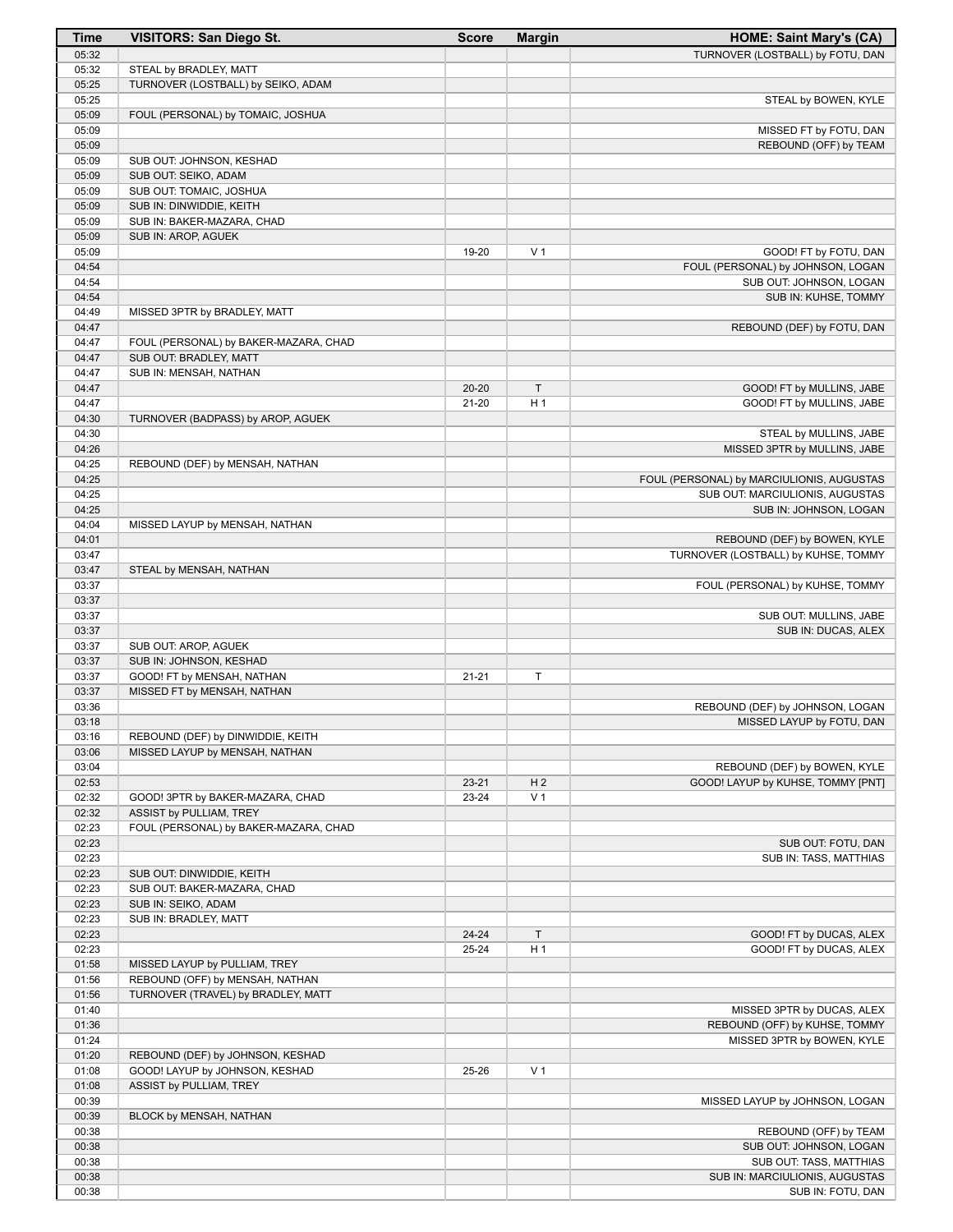| <b>Time</b>    | <b>VISITORS: San Diego St.</b>                                        | <b>Score</b> | <b>Margin</b>  | <b>HOME: Saint Mary's (CA)</b>                             |
|----------------|-----------------------------------------------------------------------|--------------|----------------|------------------------------------------------------------|
| 05:32          |                                                                       |              |                | TURNOVER (LOSTBALL) by FOTU, DAN                           |
| 05:32          | STEAL by BRADLEY, MATT                                                |              |                |                                                            |
| 05:25          | TURNOVER (LOSTBALL) by SEIKO, ADAM                                    |              |                |                                                            |
| 05:25          |                                                                       |              |                | STEAL by BOWEN, KYLE                                       |
| 05:09<br>05:09 | FOUL (PERSONAL) by TOMAIC, JOSHUA                                     |              |                | MISSED FT by FOTU, DAN                                     |
| 05:09          |                                                                       |              |                | REBOUND (OFF) by TEAM                                      |
| 05:09          | SUB OUT: JOHNSON, KESHAD                                              |              |                |                                                            |
| 05:09          | SUB OUT: SEIKO, ADAM                                                  |              |                |                                                            |
| 05:09          | SUB OUT: TOMAIC, JOSHUA                                               |              |                |                                                            |
| 05:09          | SUB IN: DINWIDDIE, KEITH                                              |              |                |                                                            |
| 05:09          | SUB IN: BAKER-MAZARA, CHAD                                            |              |                |                                                            |
| 05:09          | SUB IN: AROP, AGUEK                                                   |              |                |                                                            |
| 05:09<br>04:54 |                                                                       | 19-20        | V <sub>1</sub> | GOOD! FT by FOTU, DAN<br>FOUL (PERSONAL) by JOHNSON, LOGAN |
| 04:54          |                                                                       |              |                | SUB OUT: JOHNSON, LOGAN                                    |
| 04:54          |                                                                       |              |                | SUB IN: KUHSE, TOMMY                                       |
| 04:49          | MISSED 3PTR by BRADLEY, MATT                                          |              |                |                                                            |
| 04:47          |                                                                       |              |                | REBOUND (DEF) by FOTU, DAN                                 |
| 04:47          | FOUL (PERSONAL) by BAKER-MAZARA, CHAD                                 |              |                |                                                            |
| 04:47          | SUB OUT: BRADLEY, MATT                                                |              |                |                                                            |
| 04:47<br>04:47 | SUB IN: MENSAH, NATHAN                                                | $20 - 20$    | $\top$         |                                                            |
| 04:47          |                                                                       | $21 - 20$    | H <sub>1</sub> | GOOD! FT by MULLINS, JABE<br>GOOD! FT by MULLINS, JABE     |
| 04:30          | TURNOVER (BADPASS) by AROP, AGUEK                                     |              |                |                                                            |
| 04:30          |                                                                       |              |                | STEAL by MULLINS, JABE                                     |
| 04:26          |                                                                       |              |                | MISSED 3PTR by MULLINS, JABE                               |
| 04:25          | REBOUND (DEF) by MENSAH, NATHAN                                       |              |                |                                                            |
| 04:25          |                                                                       |              |                | FOUL (PERSONAL) by MARCIULIONIS, AUGUSTAS                  |
| 04:25          |                                                                       |              |                | SUB OUT: MARCIULIONIS, AUGUSTAS                            |
| 04:25<br>04:04 | MISSED LAYUP by MENSAH, NATHAN                                        |              |                | SUB IN: JOHNSON, LOGAN                                     |
| 04:01          |                                                                       |              |                | REBOUND (DEF) by BOWEN, KYLE                               |
| 03:47          |                                                                       |              |                | TURNOVER (LOSTBALL) by KUHSE, TOMMY                        |
| 03:47          | STEAL by MENSAH, NATHAN                                               |              |                |                                                            |
| 03:37          |                                                                       |              |                | FOUL (PERSONAL) by KUHSE, TOMMY                            |
| 03:37          |                                                                       |              |                |                                                            |
| 03:37<br>03:37 |                                                                       |              |                | SUB OUT: MULLINS, JABE<br>SUB IN: DUCAS, ALEX              |
| 03:37          | SUB OUT: AROP, AGUEK                                                  |              |                |                                                            |
| 03:37          | SUB IN: JOHNSON, KESHAD                                               |              |                |                                                            |
| 03:37          | GOOD! FT by MENSAH, NATHAN                                            | $21 - 21$    | T              |                                                            |
| 03:37          | MISSED FT by MENSAH, NATHAN                                           |              |                |                                                            |
| 03:36          |                                                                       |              |                | REBOUND (DEF) by JOHNSON, LOGAN                            |
| 03:18<br>03:16 | REBOUND (DEF) by DINWIDDIE, KEITH                                     |              |                | MISSED LAYUP by FOTU, DAN                                  |
| 03:06          | MISSED LAYUP by MENSAH, NATHAN                                        |              |                |                                                            |
| 03:04          |                                                                       |              |                | REBOUND (DEF) by BOWEN, KYLE                               |
| 02:53          |                                                                       | $23 - 21$    | H <sub>2</sub> | GOOD! LAYUP by KUHSE, TOMMY [PNT]                          |
| 02:32          | GOOD! 3PTR by BAKER-MAZARA, CHAD                                      | 23-24        | V <sub>1</sub> |                                                            |
| 02:32          | ASSIST by PULLIAM, TREY                                               |              |                |                                                            |
| 02:23          | FOUL (PERSONAL) by BAKER-MAZARA, CHAD                                 |              |                |                                                            |
| 02:23          |                                                                       |              |                | SUB OUT: FOTU, DAN                                         |
| 02:23<br>02:23 | SUB OUT: DINWIDDIE, KEITH                                             |              |                | SUB IN: TASS, MATTHIAS                                     |
| 02:23          | SUB OUT: BAKER-MAZARA, CHAD                                           |              |                |                                                            |
| 02:23          | SUB IN: SEIKO, ADAM                                                   |              |                |                                                            |
| 02:23          | SUB IN: BRADLEY, MATT                                                 |              |                |                                                            |
| 02:23          |                                                                       | 24-24        | $\top$         | GOOD! FT by DUCAS, ALEX                                    |
| 02:23          |                                                                       | 25-24        | H <sub>1</sub> | GOOD! FT by DUCAS, ALEX                                    |
| 01:58          | MISSED LAYUP by PULLIAM, TREY                                         |              |                |                                                            |
| 01:56<br>01:56 | REBOUND (OFF) by MENSAH, NATHAN<br>TURNOVER (TRAVEL) by BRADLEY, MATT |              |                |                                                            |
| 01:40          |                                                                       |              |                | MISSED 3PTR by DUCAS, ALEX                                 |
| 01:36          |                                                                       |              |                | REBOUND (OFF) by KUHSE, TOMMY                              |
| 01:24          |                                                                       |              |                | MISSED 3PTR by BOWEN, KYLE                                 |
| 01:20          | REBOUND (DEF) by JOHNSON, KESHAD                                      |              |                |                                                            |
| 01:08          | GOOD! LAYUP by JOHNSON, KESHAD                                        | 25-26        | V <sub>1</sub> |                                                            |
| 01:08          | ASSIST by PULLIAM, TREY                                               |              |                |                                                            |
| 00:39<br>00:39 | BLOCK by MENSAH, NATHAN                                               |              |                | MISSED LAYUP by JOHNSON, LOGAN                             |
| 00:38          |                                                                       |              |                | REBOUND (OFF) by TEAM                                      |
| 00:38          |                                                                       |              |                | SUB OUT: JOHNSON, LOGAN                                    |
| 00:38          |                                                                       |              |                | SUB OUT: TASS, MATTHIAS                                    |
| 00:38          |                                                                       |              |                | SUB IN: MARCIULIONIS, AUGUSTAS                             |
| 00:38          |                                                                       |              |                | SUB IN: FOTU, DAN                                          |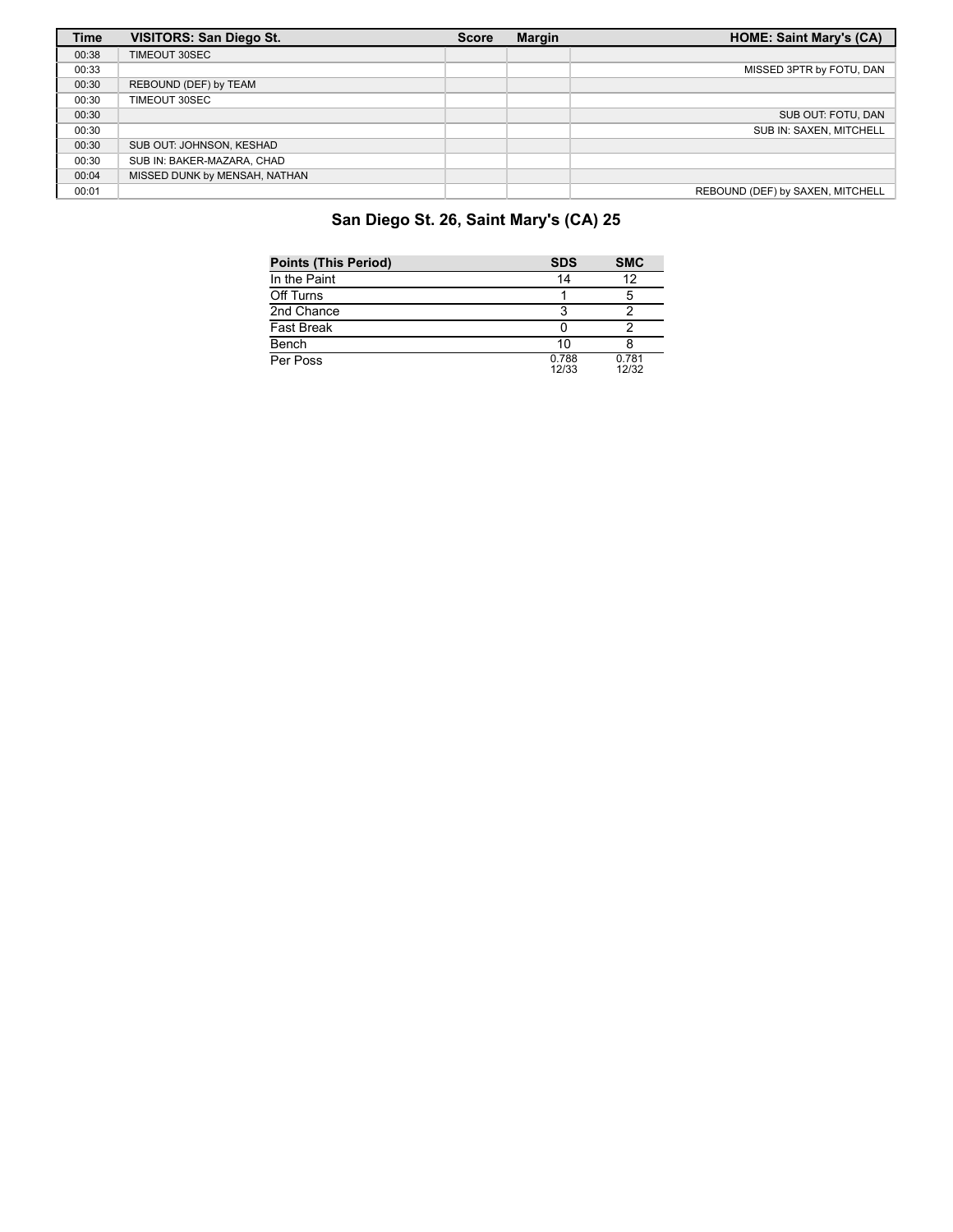| <b>Time</b> | <b>VISITORS: San Diego St.</b> | <b>Score</b> | <b>Margin</b> | <b>HOME: Saint Mary's (CA)</b>   |
|-------------|--------------------------------|--------------|---------------|----------------------------------|
| 00:38       | TIMEOUT 30SEC                  |              |               |                                  |
| 00:33       |                                |              |               | MISSED 3PTR by FOTU, DAN         |
| 00:30       | REBOUND (DEF) by TEAM          |              |               |                                  |
| 00:30       | TIMEOUT 30SEC                  |              |               |                                  |
| 00:30       |                                |              |               | SUB OUT: FOTU, DAN               |
| 00:30       |                                |              |               | SUB IN: SAXEN, MITCHELL          |
| 00:30       | SUB OUT: JOHNSON, KESHAD       |              |               |                                  |
| 00:30       | SUB IN: BAKER-MAZARA, CHAD     |              |               |                                  |
| 00:04       | MISSED DUNK by MENSAH, NATHAN  |              |               |                                  |
| 00:01       |                                |              |               | REBOUND (DEF) by SAXEN, MITCHELL |

# **San Diego St. 26, Saint Mary's (CA) 25**

| <b>Points (This Period)</b> | <b>SDS</b>     | <b>SMC</b>     |
|-----------------------------|----------------|----------------|
| In the Paint                | 14             | 12             |
| Off Turns                   |                |                |
| 2nd Chance                  |                |                |
| <b>Fast Break</b>           |                |                |
| Bench                       | 10             |                |
| Per Poss                    | 0.788<br>12/33 | 0.781<br>12/32 |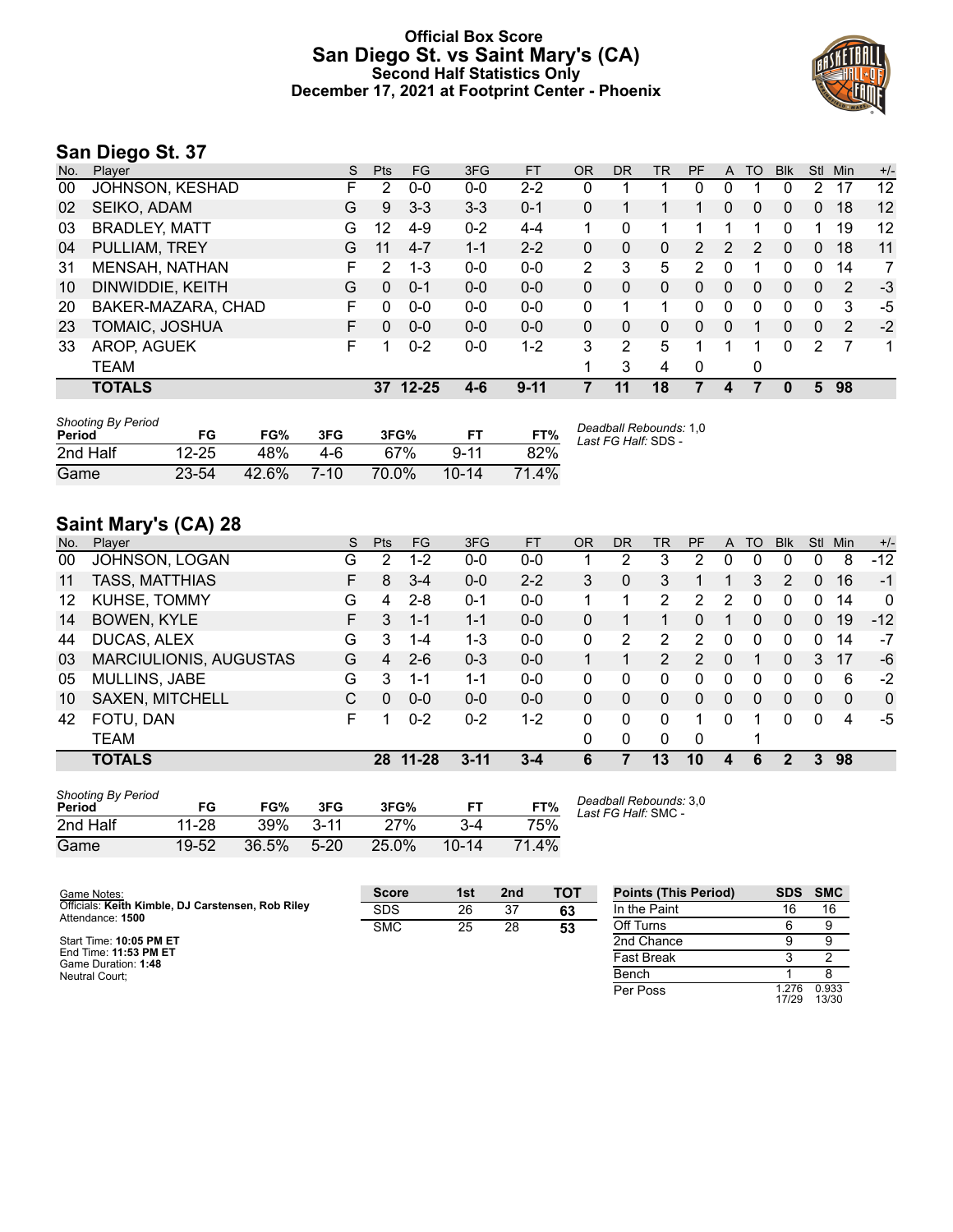## **Official Box Score San Diego St. vs Saint Mary's (CA) Second Half Statistics Only December 17, 2021 at Footprint Center - Phoenix**



# **San Diego St. 37**

| No. | Plaver               | S | <b>Pts</b> | <b>FG</b> | 3FG     | <b>FT</b> | <b>OR</b> | <b>DR</b>    | TR | <b>PF</b> | A        | TO            | <b>Blk</b> | Stl      | Min | $+/-$ |
|-----|----------------------|---|------------|-----------|---------|-----------|-----------|--------------|----|-----------|----------|---------------|------------|----------|-----|-------|
| 00  | JOHNSON, KESHAD      | F | 2          | $0 - 0$   | $0 - 0$ | $2 - 2$   | 0         |              |    | 0         | 0        |               | 0          | 2        | 17  | 12    |
| 02  | SEIKO, ADAM          | G | 9          | $3 - 3$   | $3 - 3$ | $0 - 1$   | 0         |              |    |           | $\Omega$ | 0             | 0          | $\Omega$ | 18  | 12    |
| 03  | <b>BRADLEY, MATT</b> | G | 12         | $4 - 9$   | $0 - 2$ | $4 - 4$   |           | 0            |    |           |          |               | 0          |          | 19  | 12    |
| 04  | PULLIAM, TREY        | G | 11         | $4 - 7$   | $1 - 1$ | $2 - 2$   | 0         | $\mathbf{0}$ | 0  | 2         | 2        | $\mathcal{P}$ | 0          | $\Omega$ | 18  | 11    |
| -31 | MENSAH, NATHAN       | F | 2          | 1-3       | $0 - 0$ | $0 - 0$   | 2         | 3            | 5  | 2         | 0        |               | 0          | 0        | 14  | 7     |
| 10  | DINWIDDIE, KEITH     | G | $\Omega$   | $0 - 1$   | $0 - 0$ | $0 - 0$   | 0         | 0            | 0  | $\Omega$  | $\Omega$ | 0             | 0          | $\Omega$ | 2   | $-3$  |
| 20  | BAKER-MAZARA, CHAD   | F | 0          | $0 - 0$   | $0 - 0$ | $0 - 0$   | 0         |              | 1  | 0         | $\Omega$ | 0             | 0          | 0        | 3   | -5    |
| 23  | TOMAIC, JOSHUA       | F | 0          | $0 - 0$   | $0 - 0$ | $0 - 0$   | 0         | 0            | 0  | 0         | 0        |               | 0          | 0        | 2   | $-2$  |
| 33  | AROP, AGUEK          | F |            | $0 - 2$   | $0-0$   | $1 - 2$   | 3         | 2            | 5  |           |          |               | 0          | 2        |     | 1     |
|     | TEAM                 |   |            |           |         |           |           | 3            | 4  | 0         |          | 0             |            |          |     |       |
|     | <b>TOTALS</b>        |   |            | 37 12-25  | $4-6$   | $9 - 11$  |           | 11           | 18 |           | 4        |               | 0          | 5.       | 98  |       |
|     |                      |   |            |           |         |           |           |              |    |           |          |               |            |          |     |       |

| <b>Shooting By Period</b><br>Period | FG        | FG%   | 3FG    | 3FG%  |           | FT%   | Deadball Rebounds: 1,0<br>Last FG Half: SDS - |
|-------------------------------------|-----------|-------|--------|-------|-----------|-------|-----------------------------------------------|
| 2nd Half                            | $12 - 25$ | 48%   | 4-6    | 67%   | $9 - 11$  | 82%   |                                               |
| Game                                | $23 - 54$ | 42.6% | $7-10$ | 70.0% | $10 - 14$ | 71.4% |                                               |

# **Saint Mary's (CA) 28**

| No. | Plaver                        | S  | <b>Pts</b>     | <b>FG</b> | 3FG      | <b>FT</b> | 0R | <b>DR</b> | TR             | <b>PF</b> | A            | TO           | <b>B</b> lk | Stl      | Min | $+/-$        |
|-----|-------------------------------|----|----------------|-----------|----------|-----------|----|-----------|----------------|-----------|--------------|--------------|-------------|----------|-----|--------------|
| 00  | JOHNSON, LOGAN                | G  | 2              | $1-2$     | $0 - 0$  | $0-0$     |    | 2         | 3              | 2         | 0            | 0            | 0           | 0        | 8   | $-12$        |
| 11  | <b>TASS, MATTHIAS</b>         | F. | 8              | $3 - 4$   | $0 - 0$  | $2 - 2$   | 3  | 0         | 3              |           |              | 3            | 2           | $\Omega$ | 16  | $-1$         |
| 12  | KUHSE, TOMMY                  | G  | 4              | $2 - 8$   | $0 - 1$  | $0-0$     |    |           | 2              | 2         | 2            | 0            | 0           | 0        | 14  | $\mathbf{0}$ |
| 14  | <b>BOWEN, KYLE</b>            | F. | 3              | 1-1       | $1 - 1$  | $0 - 0$   | 0  |           | 1              | 0         |              | $\Omega$     | 0           | $\Omega$ | 19  | $-12$        |
| 44  | DUCAS, ALEX                   | G  | 3              | $1 - 4$   | $1 - 3$  | $0-0$     | 0  | 2         | 2              | 2         | 0            | 0            | 0           | 0        | 14  | -7           |
| 03  | <b>MARCIULIONIS, AUGUSTAS</b> | G  | $\overline{a}$ | $2 - 6$   | $0 - 3$  | $0 - 0$   |    |           | $\overline{2}$ | 2         | $\Omega$     |              | 0           | 3        | 17  | -6           |
| 05  | <b>MULLINS, JABE</b>          | G  | 3              | $1 - 1$   | 1-1      | $0-0$     | 0  | 0         | 0              | 0         | 0            | <sup>0</sup> | 0           | 0        | 6   | $-2$         |
| 10  | <b>SAXEN, MITCHELL</b>        | C  | 0              | $0 - 0$   | $0 - 0$  | $0 - 0$   | 0  | 0         | $\mathbf{0}$   | 0         | $\mathbf{0}$ | $\Omega$     | $\Omega$    | $\Omega$ | 0   | $\mathbf{0}$ |
| 42  | FOTU, DAN                     | F  |                | $0 - 2$   | $0 - 2$  | $1-2$     | 0  | 0         | $\mathbf{0}$   |           | 0            |              | 0           | $\Omega$ | 4   | -5           |
|     | TEAM                          |    |                |           |          |           | 0  | 0         | $\Omega$       | 0         |              |              |             |          |     |              |
|     | <b>TOTALS</b>                 |    | 28             | $11 - 28$ | $3 - 11$ | $3 - 4$   | 6  | 7         | 13             | 10        | 4            | 6            | 2           | 3        | 98  |              |
|     |                               |    |                |           |          |           |    |           |                |           |              |              |             |          |     |              |

| <b>Shooting By Period</b><br><b>Period</b> | FG        | FG%   | 3FG      | 3FG%  |           | FT%   |
|--------------------------------------------|-----------|-------|----------|-------|-----------|-------|
| 2nd Half                                   | 11-28     | 39%   | $3 - 11$ | 27%   | $3-4$     | 75%   |
| Game                                       | $19 - 52$ | 36.5% | $5-20$   | 25.0% | $10 - 14$ | 71.4% |

*Deadball Rebounds:* 3,0 *Last FG Half:* SMC -

| Game Notes:                                                           | <b>Score</b> | 1st | 2 <sub>nd</sub> | <b>TOT</b> | <b>Points (This Period)</b> | <b>SDS</b>    | <b>SMC</b>     |
|-----------------------------------------------------------------------|--------------|-----|-----------------|------------|-----------------------------|---------------|----------------|
| Officials: Keith Kimble, DJ Carstensen, Rob Riley<br>Attendance: 1500 | <b>SDS</b>   | 26  | 37              | 63         | In the Paint                | 16            | 16             |
|                                                                       | <b>SMC</b>   | 25  | 28              | 53         | Off Turns                   |               |                |
| Start Time: 10:05 PM ET                                               |              |     |                 |            | 2nd Chance                  |               |                |
| End Time: 11:53 PM ET<br>Game Duration: 1:48                          |              |     |                 |            | <b>Fast Break</b>           |               |                |
| Neutral Court:                                                        |              |     |                 |            | Bench                       |               |                |
|                                                                       |              |     |                 |            | Per Poss                    | .276<br>17/29 | 0.933<br>13/30 |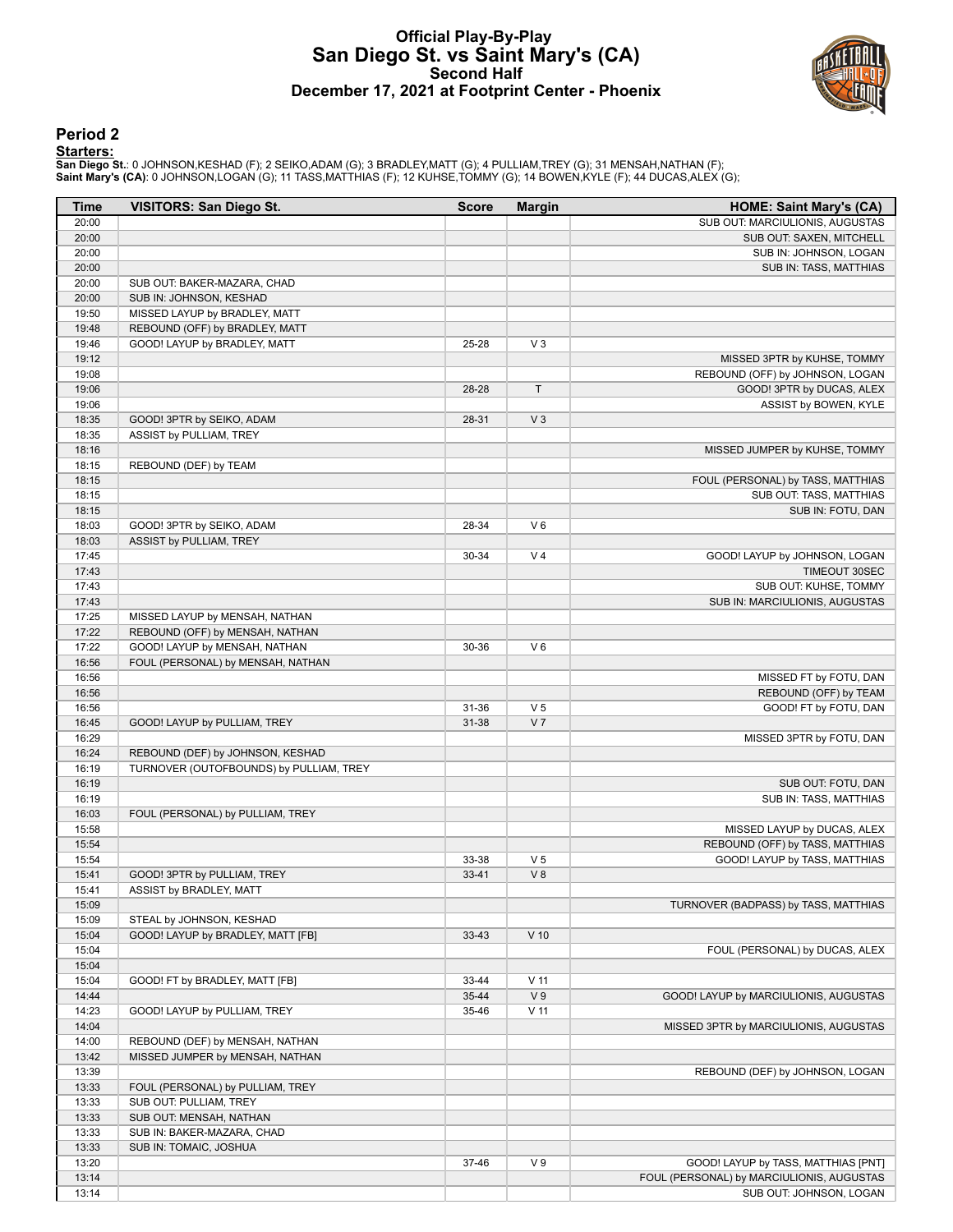## **Official Play-By-Play San Diego St. vs Saint Mary's (CA) Second Half December 17, 2021 at Footprint Center - Phoenix**



#### **Period 2**

#### **Starters:**

San Diego St.: 0 JOHNSON,KESHAD (F); 2 SEIKO,ADAM (G); 3 BRADLEY,MATT (G); 4 PULLIAM,TREY (G); 31 MENSAH,NATHAN (F);<br>Saint **Mary's (CA)**: 0 JOHNSON,LOGAN (G); 11 TASS,MATTHIAS (F); 12 KUHSE,TOMMY (G); 14 BOWEN,KYLE (F); 44

| Time  | <b>VISITORS: San Diego St.</b>          | <b>Score</b> | <b>Margin</b>   | <b>HOME: Saint Mary's (CA)</b>            |
|-------|-----------------------------------------|--------------|-----------------|-------------------------------------------|
| 20:00 |                                         |              |                 | SUB OUT: MARCIULIONIS, AUGUSTAS           |
| 20:00 |                                         |              |                 | SUB OUT: SAXEN, MITCHELL                  |
| 20:00 |                                         |              |                 | SUB IN: JOHNSON, LOGAN                    |
| 20:00 |                                         |              |                 | SUB IN: TASS, MATTHIAS                    |
| 20:00 | SUB OUT: BAKER-MAZARA, CHAD             |              |                 |                                           |
| 20:00 | SUB IN: JOHNSON, KESHAD                 |              |                 |                                           |
| 19:50 | MISSED LAYUP by BRADLEY, MATT           |              |                 |                                           |
| 19:48 | REBOUND (OFF) by BRADLEY, MATT          |              |                 |                                           |
| 19:46 | GOOD! LAYUP by BRADLEY, MATT            | 25-28        | $V_3$           |                                           |
| 19:12 |                                         |              |                 | MISSED 3PTR by KUHSE, TOMMY               |
| 19:08 |                                         |              |                 | REBOUND (OFF) by JOHNSON, LOGAN           |
| 19:06 |                                         | 28-28        | $\top$          | GOOD! 3PTR by DUCAS, ALEX                 |
| 19:06 |                                         |              |                 | ASSIST by BOWEN, KYLE                     |
| 18:35 | GOOD! 3PTR by SEIKO, ADAM               | 28-31        | V <sub>3</sub>  |                                           |
| 18:35 | ASSIST by PULLIAM, TREY                 |              |                 |                                           |
| 18:16 |                                         |              |                 | MISSED JUMPER by KUHSE, TOMMY             |
| 18:15 | REBOUND (DEF) by TEAM                   |              |                 |                                           |
| 18:15 |                                         |              |                 | FOUL (PERSONAL) by TASS, MATTHIAS         |
| 18:15 |                                         |              |                 | SUB OUT: TASS, MATTHIAS                   |
| 18:15 |                                         |              |                 | SUB IN: FOTU, DAN                         |
| 18:03 | GOOD! 3PTR by SEIKO, ADAM               | 28-34        | $V_6$           |                                           |
| 18:03 | ASSIST by PULLIAM, TREY                 |              |                 |                                           |
| 17:45 |                                         | 30-34        | V <sub>4</sub>  | GOOD! LAYUP by JOHNSON, LOGAN             |
| 17:43 |                                         |              |                 | TIMEOUT 30SEC                             |
| 17:43 |                                         |              |                 | SUB OUT: KUHSE, TOMMY                     |
| 17:43 |                                         |              |                 | SUB IN: MARCIULIONIS, AUGUSTAS            |
| 17:25 | MISSED LAYUP by MENSAH, NATHAN          |              |                 |                                           |
| 17:22 | REBOUND (OFF) by MENSAH, NATHAN         |              |                 |                                           |
| 17:22 | GOOD! LAYUP by MENSAH, NATHAN           | 30-36        | $V_6$           |                                           |
| 16:56 | FOUL (PERSONAL) by MENSAH, NATHAN       |              |                 |                                           |
| 16:56 |                                         |              |                 | MISSED FT by FOTU, DAN                    |
| 16:56 |                                         |              |                 | REBOUND (OFF) by TEAM                     |
| 16:56 |                                         | 31-36        | V <sub>5</sub>  | GOOD! FT by FOTU, DAN                     |
| 16:45 | GOOD! LAYUP by PULLIAM, TREY            | 31-38        | V <sub>7</sub>  |                                           |
| 16:29 |                                         |              |                 | MISSED 3PTR by FOTU, DAN                  |
| 16:24 | REBOUND (DEF) by JOHNSON, KESHAD        |              |                 |                                           |
| 16:19 | TURNOVER (OUTOFBOUNDS) by PULLIAM, TREY |              |                 |                                           |
| 16:19 |                                         |              |                 | SUB OUT: FOTU, DAN                        |
| 16:19 |                                         |              |                 | SUB IN: TASS, MATTHIAS                    |
| 16:03 | FOUL (PERSONAL) by PULLIAM, TREY        |              |                 |                                           |
| 15:58 |                                         |              |                 | MISSED LAYUP by DUCAS, ALEX               |
| 15:54 |                                         |              |                 | REBOUND (OFF) by TASS, MATTHIAS           |
| 15:54 |                                         | 33-38        | V <sub>5</sub>  | GOOD! LAYUP by TASS, MATTHIAS             |
| 15:41 | GOOD! 3PTR by PULLIAM, TREY             | $33 - 41$    | V8              |                                           |
| 15:41 | ASSIST by BRADLEY, MATT                 |              |                 |                                           |
| 15:09 |                                         |              |                 | TURNOVER (BADPASS) by TASS, MATTHIAS      |
| 15:09 | STEAL by JOHNSON, KESHAD                |              |                 |                                           |
| 15:04 | GOOD! LAYUP by BRADLEY, MATT [FB]       | $33 - 43$    | $V$ 10          |                                           |
| 15:04 |                                         |              |                 | FOUL (PERSONAL) by DUCAS, ALEX            |
| 15:04 |                                         |              |                 |                                           |
| 15:04 | GOOD! FT by BRADLEY, MATT [FB]          | 33-44        | V <sub>11</sub> |                                           |
| 14:44 |                                         | 35-44        | V <sub>9</sub>  | GOOD! LAYUP by MARCIULIONIS, AUGUSTAS     |
| 14:23 |                                         | 35-46        | V <sub>11</sub> |                                           |
|       | GOOD! LAYUP by PULLIAM, TREY            |              |                 |                                           |
| 14:04 |                                         |              |                 | MISSED 3PTR by MARCIULIONIS, AUGUSTAS     |
| 14:00 | REBOUND (DEF) by MENSAH, NATHAN         |              |                 |                                           |
| 13:42 | MISSED JUMPER by MENSAH, NATHAN         |              |                 |                                           |
| 13:39 |                                         |              |                 | REBOUND (DEF) by JOHNSON, LOGAN           |
| 13:33 | FOUL (PERSONAL) by PULLIAM, TREY        |              |                 |                                           |
| 13:33 | SUB OUT: PULLIAM, TREY                  |              |                 |                                           |
| 13:33 | SUB OUT: MENSAH, NATHAN                 |              |                 |                                           |
| 13:33 | SUB IN: BAKER-MAZARA, CHAD              |              |                 |                                           |
| 13:33 | SUB IN: TOMAIC, JOSHUA                  |              |                 |                                           |
| 13:20 |                                         | 37-46        | V <sub>9</sub>  | GOOD! LAYUP by TASS, MATTHIAS [PNT]       |
| 13:14 |                                         |              |                 | FOUL (PERSONAL) by MARCIULIONIS, AUGUSTAS |
| 13:14 |                                         |              |                 | SUB OUT: JOHNSON, LOGAN                   |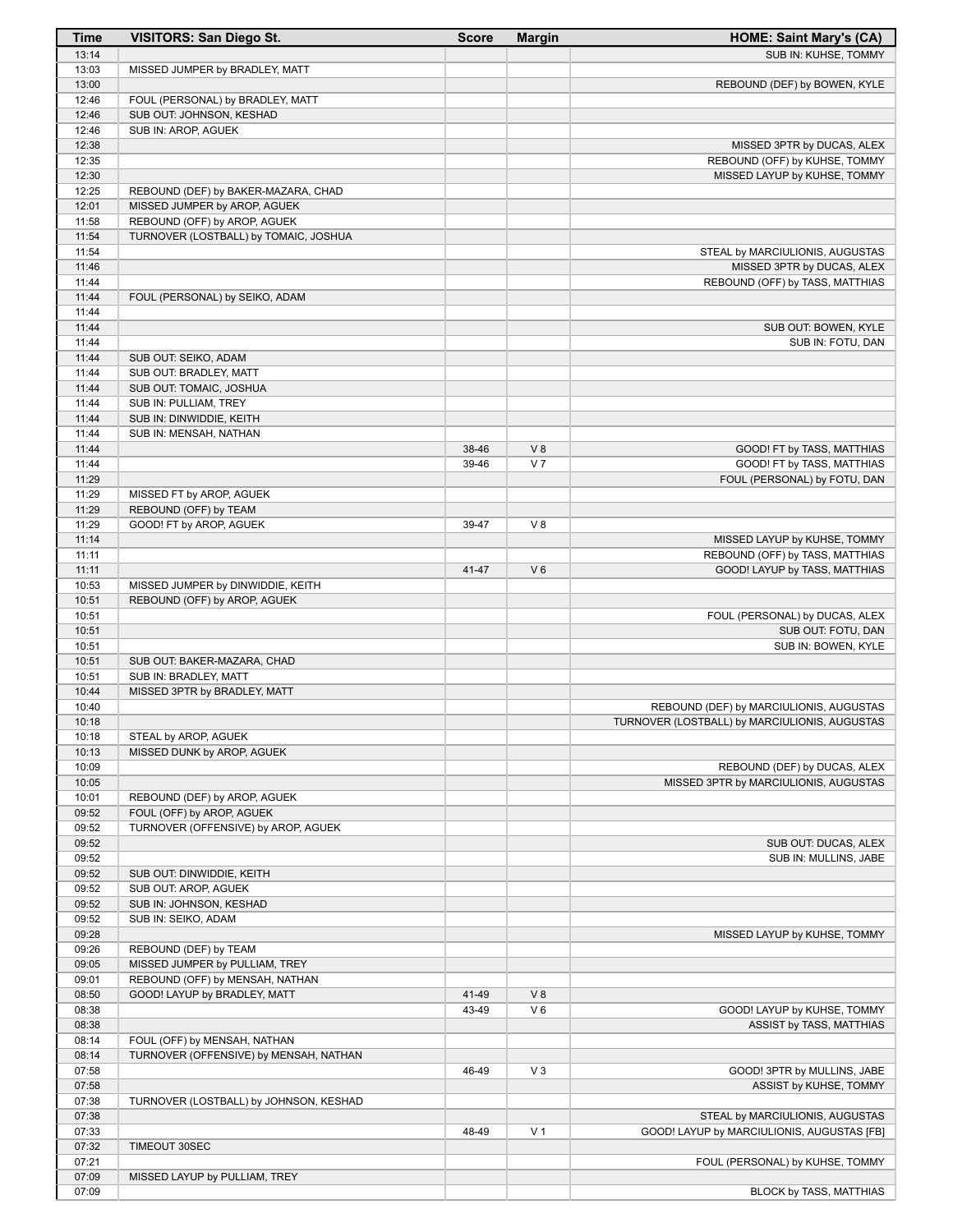| <b>Time</b>    | <b>VISITORS: San Diego St.</b>         | <b>Score</b> | <b>Margin</b>        | <b>HOME: Saint Mary's (CA)</b>                                        |
|----------------|----------------------------------------|--------------|----------------------|-----------------------------------------------------------------------|
| 13:14          |                                        |              |                      | SUB IN: KUHSE, TOMMY                                                  |
| 13:03          | MISSED JUMPER by BRADLEY, MATT         |              |                      |                                                                       |
| 13:00          |                                        |              |                      | REBOUND (DEF) by BOWEN, KYLE                                          |
| 12:46          | FOUL (PERSONAL) by BRADLEY, MATT       |              |                      |                                                                       |
| 12:46          | SUB OUT: JOHNSON, KESHAD               |              |                      |                                                                       |
| 12:46          | SUB IN: AROP, AGUEK                    |              |                      |                                                                       |
| 12:38<br>12:35 |                                        |              |                      | MISSED 3PTR by DUCAS, ALEX                                            |
| 12:30          |                                        |              |                      | REBOUND (OFF) by KUHSE, TOMMY<br>MISSED LAYUP by KUHSE, TOMMY         |
| 12:25          | REBOUND (DEF) by BAKER-MAZARA, CHAD    |              |                      |                                                                       |
| 12:01          | MISSED JUMPER by AROP, AGUEK           |              |                      |                                                                       |
| 11:58          | REBOUND (OFF) by AROP, AGUEK           |              |                      |                                                                       |
| 11:54          | TURNOVER (LOSTBALL) by TOMAIC, JOSHUA  |              |                      |                                                                       |
| 11:54          |                                        |              |                      | STEAL by MARCIULIONIS, AUGUSTAS                                       |
| 11:46          |                                        |              |                      | MISSED 3PTR by DUCAS, ALEX                                            |
| 11:44          |                                        |              |                      | REBOUND (OFF) by TASS, MATTHIAS                                       |
| 11:44          | FOUL (PERSONAL) by SEIKO, ADAM         |              |                      |                                                                       |
| 11:44          |                                        |              |                      |                                                                       |
| 11:44          |                                        |              |                      | SUB OUT: BOWEN, KYLE                                                  |
| 11:44          |                                        |              |                      | SUB IN: FOTU, DAN                                                     |
| 11:44          | SUB OUT: SEIKO, ADAM                   |              |                      |                                                                       |
| 11:44          | SUB OUT: BRADLEY, MATT                 |              |                      |                                                                       |
| 11:44          | SUB OUT: TOMAIC, JOSHUA                |              |                      |                                                                       |
| 11:44          | SUB IN: PULLIAM, TREY                  |              |                      |                                                                       |
| 11:44          | SUB IN: DINWIDDIE, KEITH               |              |                      |                                                                       |
| 11:44          | SUB IN: MENSAH, NATHAN                 |              |                      |                                                                       |
| 11:44<br>11:44 |                                        | 38-46        | V8<br>V <sub>7</sub> | GOOD! FT by TASS, MATTHIAS                                            |
| 11:29          |                                        | 39-46        |                      | GOOD! FT by TASS, MATTHIAS<br>FOUL (PERSONAL) by FOTU, DAN            |
| 11:29          | MISSED FT by AROP, AGUEK               |              |                      |                                                                       |
| 11:29          | REBOUND (OFF) by TEAM                  |              |                      |                                                                       |
| 11:29          | GOOD! FT by AROP, AGUEK                | 39-47        | V8                   |                                                                       |
| 11:14          |                                        |              |                      | MISSED LAYUP by KUHSE, TOMMY                                          |
| 11:11          |                                        |              |                      | REBOUND (OFF) by TASS, MATTHIAS                                       |
| 11:11          |                                        | 41-47        | $V_6$                | GOOD! LAYUP by TASS, MATTHIAS                                         |
| 10:53          | MISSED JUMPER by DINWIDDIE, KEITH      |              |                      |                                                                       |
| 10:51          | REBOUND (OFF) by AROP, AGUEK           |              |                      |                                                                       |
| 10:51          |                                        |              |                      | FOUL (PERSONAL) by DUCAS, ALEX                                        |
| 10:51          |                                        |              |                      | SUB OUT: FOTU, DAN                                                    |
| 10:51          |                                        |              |                      | SUB IN: BOWEN, KYLE                                                   |
| 10:51          | SUB OUT: BAKER-MAZARA, CHAD            |              |                      |                                                                       |
| 10:51          | SUB IN: BRADLEY, MATT                  |              |                      |                                                                       |
| 10:44          | MISSED 3PTR by BRADLEY, MATT           |              |                      |                                                                       |
| 10:40          |                                        |              |                      | REBOUND (DEF) by MARCIULIONIS, AUGUSTAS                               |
| 10:18          |                                        |              |                      | TURNOVER (LOSTBALL) by MARCIULIONIS, AUGUSTAS                         |
| 10:18          | STEAL by AROP, AGUEK                   |              |                      |                                                                       |
| 10:13          | MISSED DUNK by AROP, AGUEK             |              |                      |                                                                       |
| 10:09<br>10:05 |                                        |              |                      | REBOUND (DEF) by DUCAS, ALEX<br>MISSED 3PTR by MARCIULIONIS, AUGUSTAS |
| 10:01          | REBOUND (DEF) by AROP, AGUEK           |              |                      |                                                                       |
| 09:52          | FOUL (OFF) by AROP, AGUEK              |              |                      |                                                                       |
| 09:52          | TURNOVER (OFFENSIVE) by AROP, AGUEK    |              |                      |                                                                       |
| 09:52          |                                        |              |                      | SUB OUT: DUCAS, ALEX                                                  |
| 09:52          |                                        |              |                      | SUB IN: MULLINS, JABE                                                 |
| 09:52          | SUB OUT: DINWIDDIE, KEITH              |              |                      |                                                                       |
| 09:52          | SUB OUT: AROP, AGUEK                   |              |                      |                                                                       |
| 09:52          | SUB IN: JOHNSON, KESHAD                |              |                      |                                                                       |
| 09:52          | SUB IN: SEIKO, ADAM                    |              |                      |                                                                       |
| 09:28          |                                        |              |                      | MISSED LAYUP by KUHSE, TOMMY                                          |
| 09:26          | REBOUND (DEF) by TEAM                  |              |                      |                                                                       |
| 09:05          | MISSED JUMPER by PULLIAM, TREY         |              |                      |                                                                       |
| 09:01          | REBOUND (OFF) by MENSAH, NATHAN        |              |                      |                                                                       |
| 08:50          | GOOD! LAYUP by BRADLEY, MATT           | 41-49        | V8                   |                                                                       |
| 08:38          |                                        | 43-49        | $V_6$                | GOOD! LAYUP by KUHSE, TOMMY                                           |
| 08:38          |                                        |              |                      | ASSIST by TASS, MATTHIAS                                              |
| 08:14          | FOUL (OFF) by MENSAH, NATHAN           |              |                      |                                                                       |
| 08:14          | TURNOVER (OFFENSIVE) by MENSAH, NATHAN |              |                      |                                                                       |
| 07:58          |                                        | 46-49        | $V_3$                | GOOD! 3PTR by MULLINS, JABE                                           |
| 07:58          |                                        |              |                      | ASSIST by KUHSE, TOMMY                                                |
| 07:38<br>07:38 | TURNOVER (LOSTBALL) by JOHNSON, KESHAD |              |                      | STEAL by MARCIULIONIS, AUGUSTAS                                       |
| 07:33          |                                        | 48-49        | V <sub>1</sub>       | GOOD! LAYUP by MARCIULIONIS, AUGUSTAS [FB]                            |
| 07:32          | TIMEOUT 30SEC                          |              |                      |                                                                       |
| 07:21          |                                        |              |                      | FOUL (PERSONAL) by KUHSE, TOMMY                                       |
| 07:09          | MISSED LAYUP by PULLIAM, TREY          |              |                      |                                                                       |
| 07:09          |                                        |              |                      | BLOCK by TASS, MATTHIAS                                               |
|                |                                        |              |                      |                                                                       |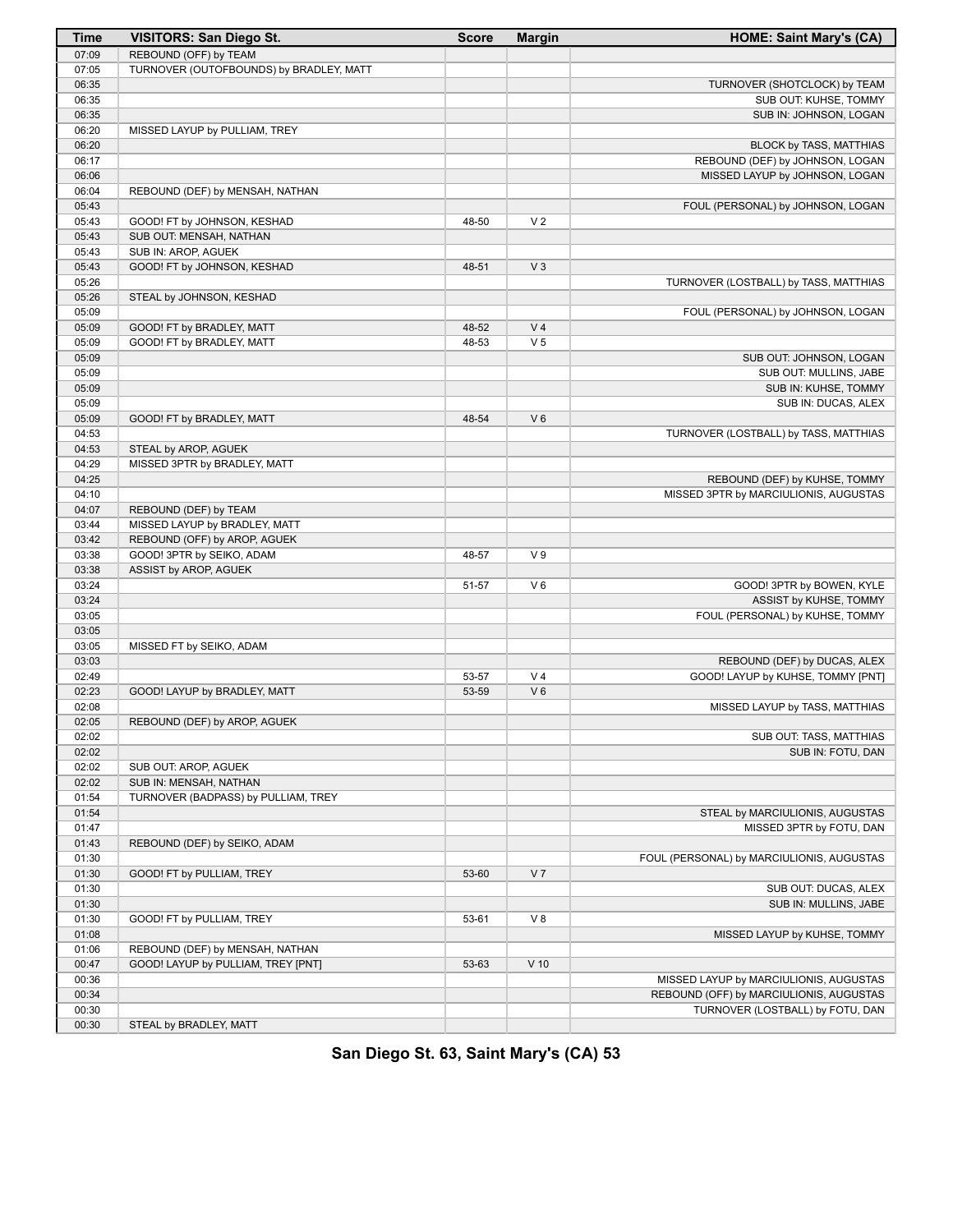| <b>Time</b>    | <b>VISITORS: San Diego St.</b>          | <b>Score</b>   | <b>Margin</b>  | <b>HOME: Saint Mary's (CA)</b>            |
|----------------|-----------------------------------------|----------------|----------------|-------------------------------------------|
| 07:09          | REBOUND (OFF) by TEAM                   |                |                |                                           |
| 07:05          | TURNOVER (OUTOFBOUNDS) by BRADLEY, MATT |                |                |                                           |
| 06:35          |                                         |                |                | TURNOVER (SHOTCLOCK) by TEAM              |
| 06:35          |                                         |                |                | SUB OUT: KUHSE, TOMMY                     |
| 06:35          |                                         |                |                | SUB IN: JOHNSON, LOGAN                    |
| 06:20          | MISSED LAYUP by PULLIAM, TREY           |                |                |                                           |
| 06:20          |                                         |                |                | BLOCK by TASS, MATTHIAS                   |
| 06:17          |                                         |                |                | REBOUND (DEF) by JOHNSON, LOGAN           |
| 06:06          |                                         |                |                | MISSED LAYUP by JOHNSON, LOGAN            |
| 06:04          | REBOUND (DEF) by MENSAH, NATHAN         |                |                |                                           |
| 05:43          |                                         |                |                | FOUL (PERSONAL) by JOHNSON, LOGAN         |
| 05:43          | GOOD! FT by JOHNSON, KESHAD             | 48-50          | V <sub>2</sub> |                                           |
| 05:43          | SUB OUT: MENSAH, NATHAN                 |                |                |                                           |
| 05:43          | SUB IN: AROP, AGUEK                     |                |                |                                           |
| 05:43          | GOOD! FT by JOHNSON, KESHAD             | 48-51          | $V_3$          |                                           |
| 05:26          |                                         |                |                | TURNOVER (LOSTBALL) by TASS, MATTHIAS     |
| 05:26          | STEAL by JOHNSON, KESHAD                |                |                |                                           |
| 05:09          |                                         |                |                | FOUL (PERSONAL) by JOHNSON, LOGAN         |
| 05:09          | GOOD! FT by BRADLEY, MATT               | 48-52          | V <sub>4</sub> |                                           |
| 05:09          | GOOD! FT by BRADLEY, MATT               | 48-53          | V <sub>5</sub> |                                           |
| 05:09          |                                         |                |                | SUB OUT: JOHNSON, LOGAN                   |
| 05:09          |                                         |                |                | SUB OUT: MULLINS, JABE                    |
| 05:09          |                                         |                |                | SUB IN: KUHSE, TOMMY                      |
| 05:09          |                                         |                |                | SUB IN: DUCAS, ALEX                       |
| 05:09          | GOOD! FT by BRADLEY, MATT               | 48-54          | $V_6$          |                                           |
| 04:53          |                                         |                |                | TURNOVER (LOSTBALL) by TASS, MATTHIAS     |
| 04:53          | STEAL by AROP, AGUEK                    |                |                |                                           |
| 04:29          | MISSED 3PTR by BRADLEY, MATT            |                |                |                                           |
| 04:25          |                                         |                |                | REBOUND (DEF) by KUHSE, TOMMY             |
| 04:10          |                                         |                |                | MISSED 3PTR by MARCIULIONIS, AUGUSTAS     |
| 04:07          | REBOUND (DEF) by TEAM                   |                |                |                                           |
| 03:44          | MISSED LAYUP by BRADLEY, MATT           |                |                |                                           |
| 03:42          | REBOUND (OFF) by AROP, AGUEK            |                |                |                                           |
| 03:38          | GOOD! 3PTR by SEIKO, ADAM               | 48-57          | V <sub>9</sub> |                                           |
| 03:38          | ASSIST by AROP, AGUEK                   |                |                |                                           |
| 03:24          |                                         | 51-57          | $V_6$          | GOOD! 3PTR by BOWEN, KYLE                 |
| 03:24          |                                         |                |                | ASSIST by KUHSE, TOMMY                    |
| 03:05          |                                         |                |                | FOUL (PERSONAL) by KUHSE, TOMMY           |
| 03:05          |                                         |                |                |                                           |
| 03:05          | MISSED FT by SEIKO, ADAM                |                |                |                                           |
| 03:03<br>02:49 |                                         |                | V <sub>4</sub> | REBOUND (DEF) by DUCAS, ALEX              |
| 02:23          | GOOD! LAYUP by BRADLEY, MATT            | 53-57<br>53-59 | $V_6$          | GOOD! LAYUP by KUHSE, TOMMY [PNT]         |
| 02:08          |                                         |                |                |                                           |
| 02:05          |                                         |                |                | MISSED LAYUP by TASS, MATTHIAS            |
| 02:02          | REBOUND (DEF) by AROP, AGUEK            |                |                | SUB OUT: TASS, MATTHIAS                   |
| 02:02          |                                         |                |                | SUB IN: FOTU, DAN                         |
| 02:02          | SUB OUT: AROP, AGUEK                    |                |                |                                           |
| 02:02          | SUB IN: MENSAH, NATHAN                  |                |                |                                           |
| 01:54          | TURNOVER (BADPASS) by PULLIAM, TREY     |                |                |                                           |
| 01:54          |                                         |                |                | STEAL by MARCIULIONIS, AUGUSTAS           |
| 01:47          |                                         |                |                | MISSED 3PTR by FOTU, DAN                  |
| 01:43          | REBOUND (DEF) by SEIKO, ADAM            |                |                |                                           |
| 01:30          |                                         |                |                | FOUL (PERSONAL) by MARCIULIONIS, AUGUSTAS |
| 01:30          | GOOD! FT by PULLIAM, TREY               | 53-60          | V <sub>7</sub> |                                           |
| 01:30          |                                         |                |                | SUB OUT: DUCAS, ALEX                      |
| 01:30          |                                         |                |                | SUB IN: MULLINS, JABE                     |
| 01:30          | GOOD! FT by PULLIAM, TREY               | 53-61          | V 8            |                                           |
| 01:08          |                                         |                |                | MISSED LAYUP by KUHSE, TOMMY              |
| 01:06          | REBOUND (DEF) by MENSAH, NATHAN         |                |                |                                           |
| 00:47          | GOOD! LAYUP by PULLIAM, TREY [PNT]      | 53-63          | $V$ 10         |                                           |
| 00:36          |                                         |                |                | MISSED LAYUP by MARCIULIONIS, AUGUSTAS    |
| 00:34          |                                         |                |                | REBOUND (OFF) by MARCIULIONIS, AUGUSTAS   |
| 00:30          |                                         |                |                | TURNOVER (LOSTBALL) by FOTU, DAN          |
| 00:30          | STEAL by BRADLEY, MATT                  |                |                |                                           |

**San Diego St. 63, Saint Mary's (CA) 53**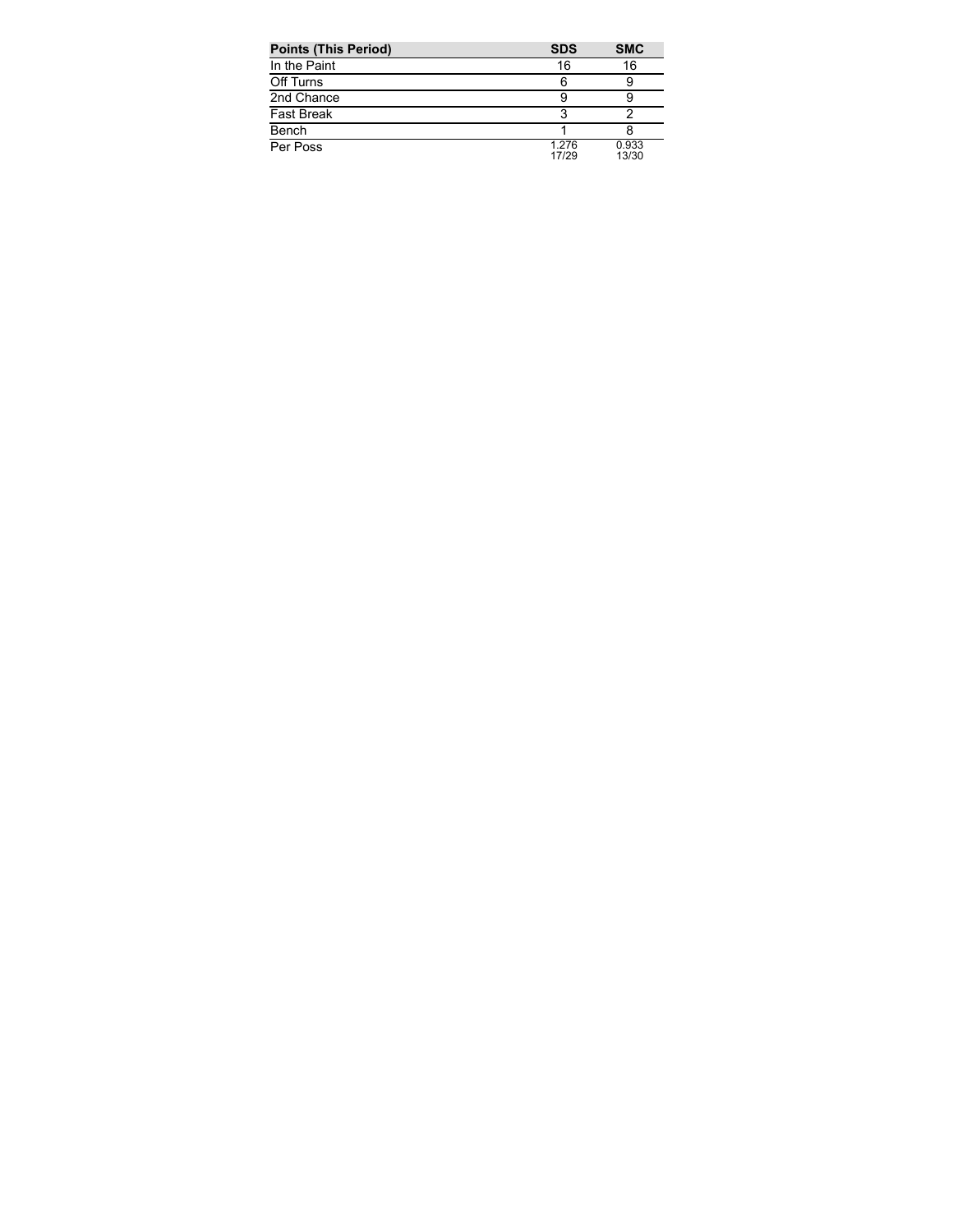| <b>Points (This Period)</b> | <b>SDS</b>     | <b>SMC</b>     |
|-----------------------------|----------------|----------------|
| In the Paint                | 16             | 16             |
| Off Turns                   | 6              |                |
| 2nd Chance                  |                |                |
| <b>Fast Break</b>           |                |                |
| Bench                       |                |                |
| Per Poss                    | 1.276<br>17/29 | 0.933<br>13/30 |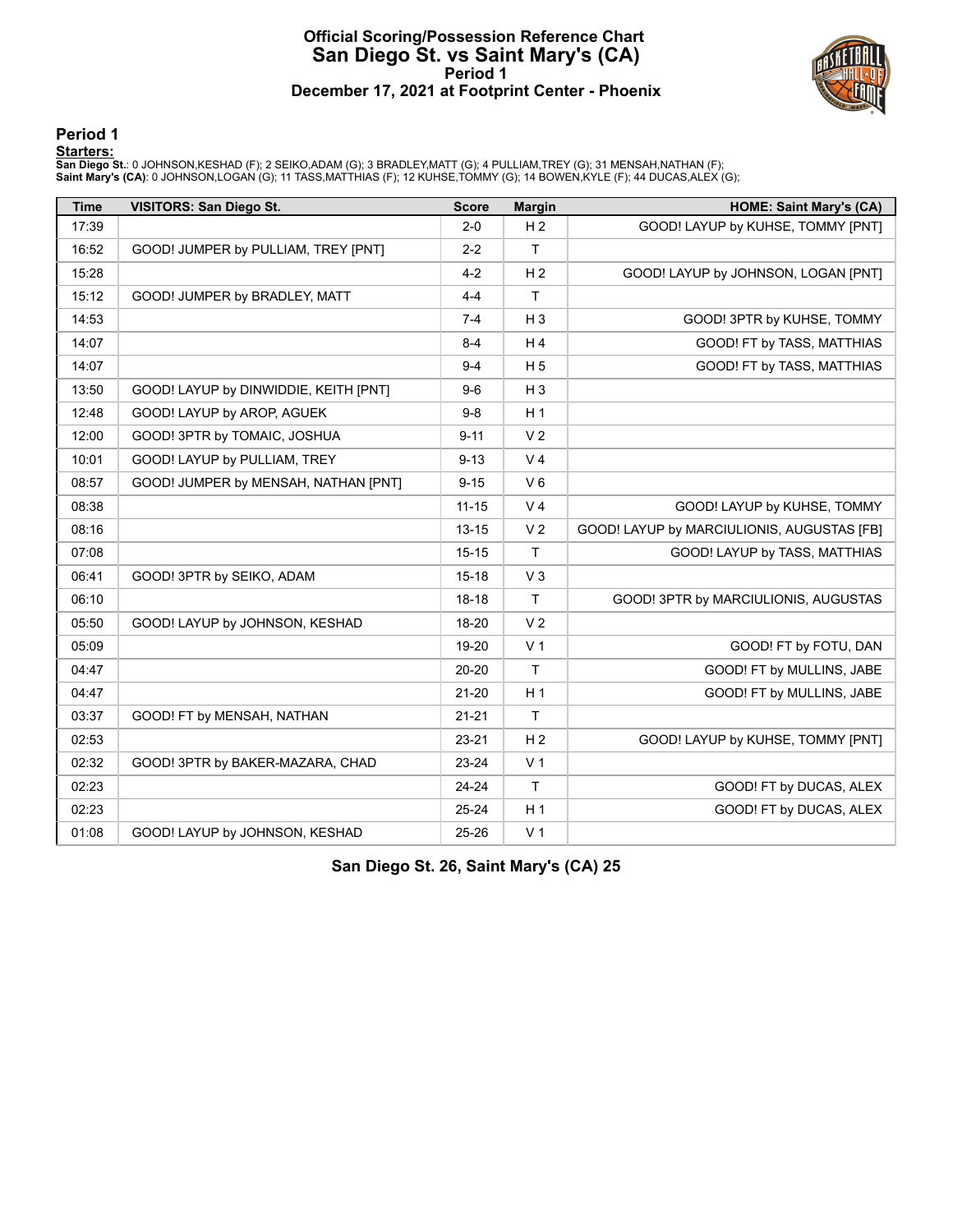## **Official Scoring/Possession Reference Chart San Diego St. vs Saint Mary's (CA) Period 1 December 17, 2021 at Footprint Center - Phoenix**



#### **Period 1**

#### **Starters:**

San Diego St.: 0 JOHNSON,KESHAD (F); 2 SEIKO,ADAM (G); 3 BRADLEY,MATT (G); 4 PULLIAM,TREY (G); 31 MENSAH,NATHAN (F);<br>Saint **Mary's (CA)**: 0 JOHNSON,LOGAN (G); 11 TASS,MATTHIAS (F); 12 KUHSE,TOMMY (G); 14 BOWEN,KYLE (F); 44

| <b>Time</b> | <b>VISITORS: San Diego St.</b>        | <b>Score</b> | <b>Margin</b>  | <b>HOME: Saint Mary's (CA)</b>             |
|-------------|---------------------------------------|--------------|----------------|--------------------------------------------|
| 17:39       |                                       | $2 - 0$      | H <sub>2</sub> | GOOD! LAYUP by KUHSE, TOMMY [PNT]          |
| 16:52       | GOOD! JUMPER by PULLIAM, TREY [PNT]   | $2 - 2$      | $\mathsf{T}$   |                                            |
| 15:28       |                                       | $4 - 2$      | H <sub>2</sub> | GOOD! LAYUP by JOHNSON, LOGAN [PNT]        |
| 15:12       | GOOD! JUMPER by BRADLEY, MATT         | $4 - 4$      | $\mathsf{T}$   |                                            |
| 14:53       |                                       | $7 - 4$      | $H_3$          | GOOD! 3PTR by KUHSE, TOMMY                 |
| 14:07       |                                       | $8 - 4$      | H4             | GOOD! FT by TASS, MATTHIAS                 |
| 14:07       |                                       | $9 - 4$      | H <sub>5</sub> | GOOD! FT by TASS, MATTHIAS                 |
| 13:50       | GOOD! LAYUP by DINWIDDIE, KEITH [PNT] | $9-6$        | $H_3$          |                                            |
| 12:48       | GOOD! LAYUP by AROP, AGUEK            | $9-8$        | H <sub>1</sub> |                                            |
| 12:00       | GOOD! 3PTR by TOMAIC, JOSHUA          | $9 - 11$     | V <sub>2</sub> |                                            |
| 10:01       | GOOD! LAYUP by PULLIAM, TREY          | $9 - 13$     | V <sub>4</sub> |                                            |
| 08:57       | GOOD! JUMPER by MENSAH, NATHAN [PNT]  | $9 - 15$     | $V_6$          |                                            |
| 08:38       |                                       | $11 - 15$    | V <sub>4</sub> | GOOD! LAYUP by KUHSE, TOMMY                |
| 08:16       |                                       | $13 - 15$    | V <sub>2</sub> | GOOD! LAYUP by MARCIULIONIS, AUGUSTAS [FB] |
| 07:08       |                                       | $15 - 15$    | $\mathsf{T}$   | GOOD! LAYUP by TASS, MATTHIAS              |
| 06:41       | GOOD! 3PTR by SEIKO, ADAM             | $15 - 18$    | $V_3$          |                                            |
| 06:10       |                                       | $18-18$      | $\mathsf{T}$   | GOOD! 3PTR by MARCIULIONIS, AUGUSTAS       |
| 05:50       | GOOD! LAYUP by JOHNSON, KESHAD        | 18-20        | V <sub>2</sub> |                                            |
| 05:09       |                                       | 19-20        | V <sub>1</sub> | GOOD! FT by FOTU, DAN                      |
| 04:47       |                                       | 20-20        | T              | GOOD! FT by MULLINS, JABE                  |
| 04:47       |                                       | $21 - 20$    | H <sub>1</sub> | GOOD! FT by MULLINS, JABE                  |
| 03:37       | GOOD! FT by MENSAH, NATHAN            | $21 - 21$    | $\mathsf{T}$   |                                            |
| 02:53       |                                       | 23-21        | H <sub>2</sub> | GOOD! LAYUP by KUHSE, TOMMY [PNT]          |
| 02:32       | GOOD! 3PTR by BAKER-MAZARA, CHAD      | 23-24        | V <sub>1</sub> |                                            |
| 02:23       |                                       | 24-24        | $\mathsf{T}$   | GOOD! FT by DUCAS, ALEX                    |
| 02:23       |                                       | 25-24        | H <sub>1</sub> | GOOD! FT by DUCAS, ALEX                    |
| 01:08       | GOOD! LAYUP by JOHNSON, KESHAD        | 25-26        | V <sub>1</sub> |                                            |

**San Diego St. 26, Saint Mary's (CA) 25**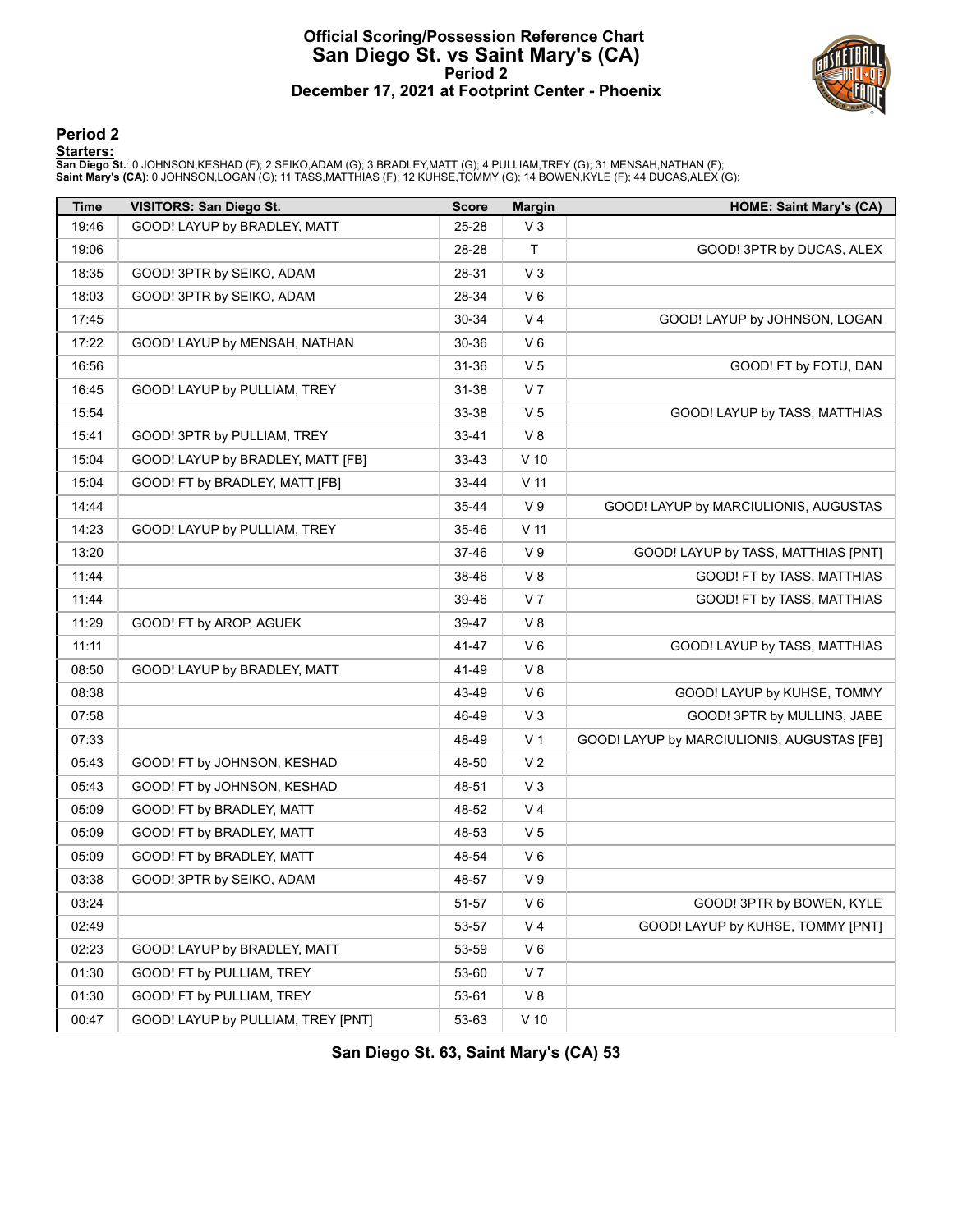## **Official Scoring/Possession Reference Chart San Diego St. vs Saint Mary's (CA) Period 2 December 17, 2021 at Footprint Center - Phoenix**



#### **Period 2**

#### **Starters:**

San Diego St.: 0 JOHNSON,KESHAD (F); 2 SEIKO,ADAM (G); 3 BRADLEY,MATT (G); 4 PULLIAM,TREY (G); 31 MENSAH,NATHAN (F);<br>Saint **Mary's (CA)**: 0 JOHNSON,LOGAN (G); 11 TASS,MATTHIAS (F); 12 KUHSE,TOMMY (G); 14 BOWEN,KYLE (F); 44

| Time  | <b>VISITORS: San Diego St.</b>     | <b>Score</b> | <b>Margin</b>   | <b>HOME: Saint Mary's (CA)</b>             |
|-------|------------------------------------|--------------|-----------------|--------------------------------------------|
| 19:46 | GOOD! LAYUP by BRADLEY, MATT       | 25-28        | $V_3$           |                                            |
| 19:06 |                                    | 28-28        | Τ               | GOOD! 3PTR by DUCAS, ALEX                  |
| 18:35 | GOOD! 3PTR by SEIKO, ADAM          | 28-31        | $V_3$           |                                            |
| 18:03 | GOOD! 3PTR by SEIKO, ADAM          | 28-34        | $V_6$           |                                            |
| 17:45 |                                    | 30-34        | V <sub>4</sub>  | GOOD! LAYUP by JOHNSON, LOGAN              |
| 17:22 | GOOD! LAYUP by MENSAH, NATHAN      | 30-36        | $V_6$           |                                            |
| 16:56 |                                    | 31-36        | V <sub>5</sub>  | GOOD! FT by FOTU, DAN                      |
| 16:45 | GOOD! LAYUP by PULLIAM, TREY       | $31 - 38$    | V <sub>7</sub>  |                                            |
| 15:54 |                                    | 33-38        | V <sub>5</sub>  | GOOD! LAYUP by TASS, MATTHIAS              |
| 15:41 | GOOD! 3PTR by PULLIAM, TREY        | 33-41        | V8              |                                            |
| 15:04 | GOOD! LAYUP by BRADLEY, MATT [FB]  | 33-43        | $V$ 10          |                                            |
| 15:04 | GOOD! FT by BRADLEY, MATT [FB]     | 33-44        | $V$ 11          |                                            |
| 14:44 |                                    | $35 - 44$    | V <sub>9</sub>  | GOOD! LAYUP by MARCIULIONIS, AUGUSTAS      |
| 14:23 | GOOD! LAYUP by PULLIAM, TREY       | 35-46        | V <sub>11</sub> |                                            |
| 13:20 |                                    | 37-46        | V <sub>9</sub>  | GOOD! LAYUP by TASS, MATTHIAS [PNT]        |
| 11:44 |                                    | 38-46        | V8              | GOOD! FT by TASS, MATTHIAS                 |
| 11:44 |                                    | 39-46        | V <sub>7</sub>  | GOOD! FT by TASS, MATTHIAS                 |
| 11:29 | GOOD! FT by AROP, AGUEK            | 39-47        | V8              |                                            |
| 11:11 |                                    | 41-47        | $V_6$           | GOOD! LAYUP by TASS, MATTHIAS              |
| 08:50 | GOOD! LAYUP by BRADLEY, MATT       | 41-49        | V8              |                                            |
| 08:38 |                                    | 43-49        | V6              | GOOD! LAYUP by KUHSE, TOMMY                |
| 07:58 |                                    | 46-49        | $V_3$           | GOOD! 3PTR by MULLINS, JABE                |
| 07:33 |                                    | 48-49        | V <sub>1</sub>  | GOOD! LAYUP by MARCIULIONIS, AUGUSTAS [FB] |
| 05:43 | GOOD! FT by JOHNSON, KESHAD        | 48-50        | V <sub>2</sub>  |                                            |
| 05:43 | GOOD! FT by JOHNSON, KESHAD        | 48-51        | $V_3$           |                                            |
| 05:09 | GOOD! FT by BRADLEY, MATT          | 48-52        | V <sub>4</sub>  |                                            |
| 05:09 | GOOD! FT by BRADLEY, MATT          | 48-53        | V <sub>5</sub>  |                                            |
| 05:09 | GOOD! FT by BRADLEY, MATT          | 48-54        | V6              |                                            |
| 03:38 | GOOD! 3PTR by SEIKO, ADAM          | 48-57        | V <sub>9</sub>  |                                            |
| 03:24 |                                    | 51-57        | $V_6$           | GOOD! 3PTR by BOWEN, KYLE                  |
| 02:49 |                                    | 53-57        | V <sub>4</sub>  | GOOD! LAYUP by KUHSE, TOMMY [PNT]          |
| 02:23 | GOOD! LAYUP by BRADLEY, MATT       | 53-59        | V6              |                                            |
| 01:30 | GOOD! FT by PULLIAM, TREY          | 53-60        | V <sub>7</sub>  |                                            |
| 01:30 | GOOD! FT by PULLIAM, TREY          | 53-61        | V8              |                                            |
| 00:47 | GOOD! LAYUP by PULLIAM, TREY [PNT] | 53-63        | $V$ 10          |                                            |

**San Diego St. 63, Saint Mary's (CA) 53**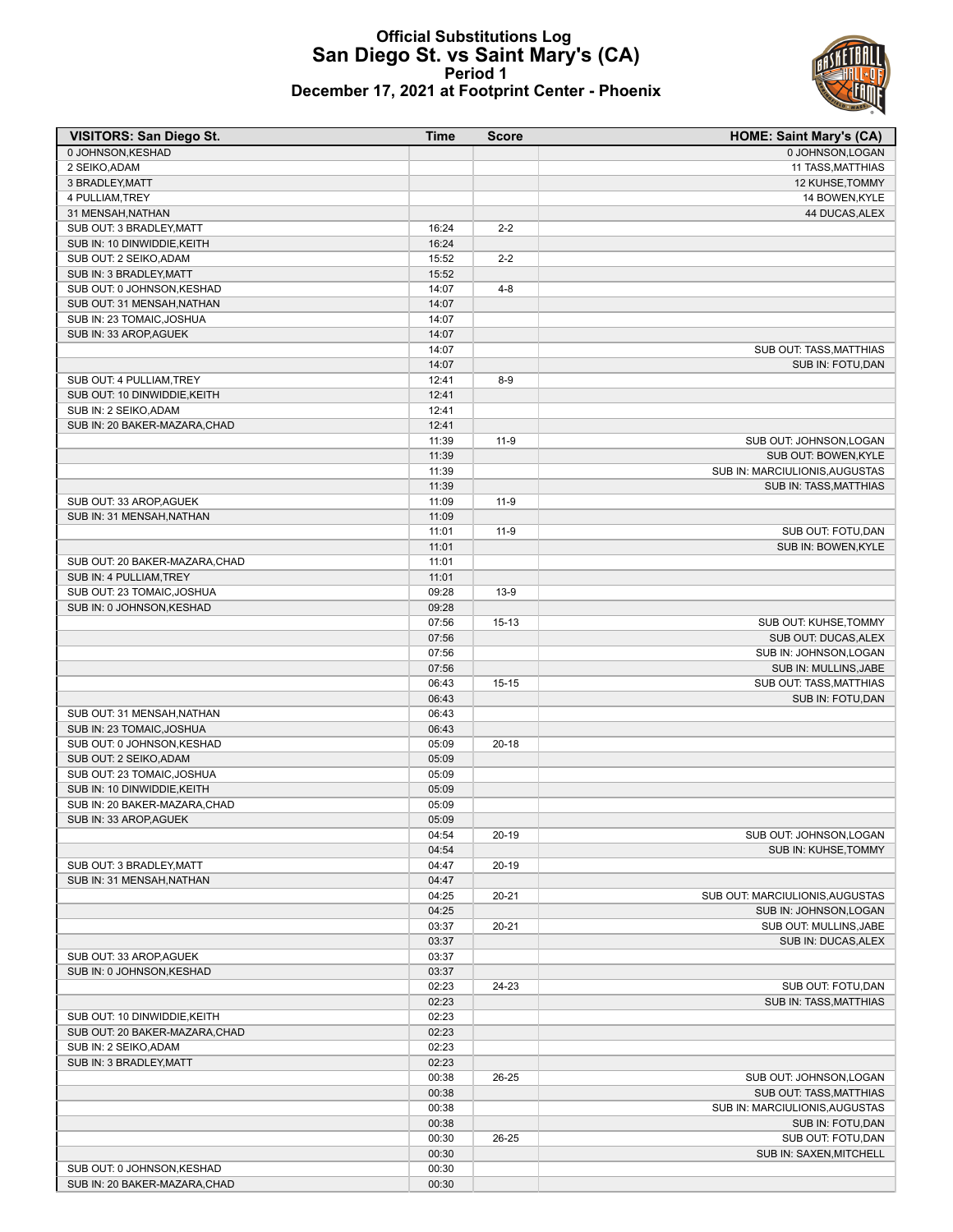

## **Official Substitutions Log San Diego St. vs Saint Mary's (CA) Period 1 December 17, 2021 at Footprint Center - Phoenix**

| <b>VISITORS: San Diego St.</b>                        | Time           | <b>Score</b> | <b>HOME: Saint Mary's (CA)</b>  |
|-------------------------------------------------------|----------------|--------------|---------------------------------|
| 0 JOHNSON, KESHAD                                     |                |              | 0 JOHNSON, LOGAN                |
| 2 SEIKO, ADAM                                         |                |              | 11 TASS, MATTHIAS               |
| 3 BRADLEY, MATT                                       |                |              | 12 KUHSE, TOMMY                 |
| 4 PULLIAM, TREY                                       |                |              | 14 BOWEN, KYLE                  |
| 31 MENSAH, NATHAN                                     |                |              | 44 DUCAS, ALEX                  |
| SUB OUT: 3 BRADLEY, MATT                              | 16:24          | $2 - 2$      |                                 |
| SUB IN: 10 DINWIDDIE, KEITH                           | 16:24          |              |                                 |
| SUB OUT: 2 SEIKO, ADAM                                | 15:52          | $2 - 2$      |                                 |
| SUB IN: 3 BRADLEY, MATT                               | 15:52          |              |                                 |
| SUB OUT: 0 JOHNSON, KESHAD                            | 14:07          | $4 - 8$      |                                 |
| SUB OUT: 31 MENSAH, NATHAN                            | 14:07          |              |                                 |
| SUB IN: 23 TOMAIC, JOSHUA                             | 14:07          |              |                                 |
| SUB IN: 33 AROP, AGUEK                                | 14:07          |              |                                 |
|                                                       | 14:07          |              | SUB OUT: TASS, MATTHIAS         |
|                                                       | 14:07          |              | SUB IN: FOTU, DAN               |
| SUB OUT: 4 PULLIAM, TREY                              | 12:41          | $8-9$        |                                 |
| SUB OUT: 10 DINWIDDIE, KEITH<br>SUB IN: 2 SEIKO, ADAM | 12:41<br>12:41 |              |                                 |
| SUB IN: 20 BAKER-MAZARA, CHAD                         | 12:41          |              |                                 |
|                                                       | 11:39          | $11-9$       | SUB OUT: JOHNSON, LOGAN         |
|                                                       | 11:39          |              | SUB OUT: BOWEN, KYLE            |
|                                                       | 11:39          |              | SUB IN: MARCIULIONIS, AUGUSTAS  |
|                                                       | 11:39          |              | SUB IN: TASS, MATTHIAS          |
| SUB OUT: 33 AROP, AGUEK                               | 11:09          | $11-9$       |                                 |
| SUB IN: 31 MENSAH.NATHAN                              | 11:09          |              |                                 |
|                                                       | 11:01          | $11-9$       | SUB OUT: FOTU, DAN              |
|                                                       | 11:01          |              | SUB IN: BOWEN.KYLE              |
| SUB OUT: 20 BAKER-MAZARA, CHAD                        | 11:01          |              |                                 |
| SUB IN: 4 PULLIAM, TREY                               | 11:01          |              |                                 |
| SUB OUT: 23 TOMAIC, JOSHUA                            | 09:28          | $13-9$       |                                 |
| SUB IN: 0 JOHNSON, KESHAD                             | 09:28          |              |                                 |
|                                                       | 07:56          | $15 - 13$    | SUB OUT: KUHSE, TOMMY           |
|                                                       | 07:56          |              | SUB OUT: DUCAS, ALEX            |
|                                                       | 07:56          |              | SUB IN: JOHNSON, LOGAN          |
|                                                       | 07:56          |              | SUB IN: MULLINS, JABE           |
|                                                       | 06:43          | $15 - 15$    | SUB OUT: TASS, MATTHIAS         |
|                                                       | 06:43          |              | SUB IN: FOTU, DAN               |
| SUB OUT: 31 MENSAH, NATHAN                            | 06:43          |              |                                 |
| SUB IN: 23 TOMAIC, JOSHUA                             | 06:43          |              |                                 |
| SUB OUT: 0 JOHNSON, KESHAD                            | 05:09          | $20 - 18$    |                                 |
| SUB OUT: 2 SEIKO, ADAM                                | 05:09          |              |                                 |
| SUB OUT: 23 TOMAIC, JOSHUA                            | 05:09          |              |                                 |
| SUB IN: 10 DINWIDDIE, KEITH                           | 05:09          |              |                                 |
| SUB IN: 20 BAKER-MAZARA, CHAD                         | 05:09          |              |                                 |
| SUB IN: 33 AROP.AGUEK                                 | 05:09          |              |                                 |
|                                                       | 04:54          | $20-19$      | SUB OUT: JOHNSON, LOGAN         |
|                                                       | 04:54          |              | SUB IN: KUHSE, TOMMY            |
| SUB OUT: 3 BRADLEY, MATT                              | 04:47          | $20-19$      |                                 |
| SUB IN: 31 MENSAH, NATHAN                             | 04:47          |              |                                 |
|                                                       | 04:25          | $20 - 21$    | SUB OUT: MARCIULIONIS, AUGUSTAS |
|                                                       | 04:25          |              | SUB IN: JOHNSON, LOGAN          |
|                                                       | 03:37          | $20 - 21$    | SUB OUT: MULLINS, JABE          |
|                                                       | 03:37          |              | SUB IN: DUCAS, ALEX             |
| SUB OUT: 33 AROP, AGUEK                               | 03:37          |              |                                 |
| SUB IN: 0 JOHNSON, KESHAD                             | 03:37<br>02:23 | 24-23        | SUB OUT: FOTU, DAN              |
|                                                       | 02:23          |              | <b>SUB IN: TASS.MATTHIAS</b>    |
| SUB OUT: 10 DINWIDDIE, KEITH                          | 02:23          |              |                                 |
| SUB OUT: 20 BAKER-MAZARA, CHAD                        | 02:23          |              |                                 |
| SUB IN: 2 SEIKO, ADAM                                 | 02:23          |              |                                 |
| SUB IN: 3 BRADLEY, MATT                               | 02:23          |              |                                 |
|                                                       | 00:38          | 26-25        | SUB OUT: JOHNSON, LOGAN         |
|                                                       | 00:38          |              | SUB OUT: TASS, MATTHIAS         |
|                                                       | 00:38          |              | SUB IN: MARCIULIONIS, AUGUSTAS  |
|                                                       | 00:38          |              | SUB IN: FOTU, DAN               |
|                                                       | 00:30          | 26-25        | SUB OUT: FOTU, DAN              |
|                                                       | 00:30          |              | SUB IN: SAXEN, MITCHELL         |
| SUB OUT: 0 JOHNSON, KESHAD                            | 00:30          |              |                                 |
| SUB IN: 20 BAKER-MAZARA, CHAD                         | 00:30          |              |                                 |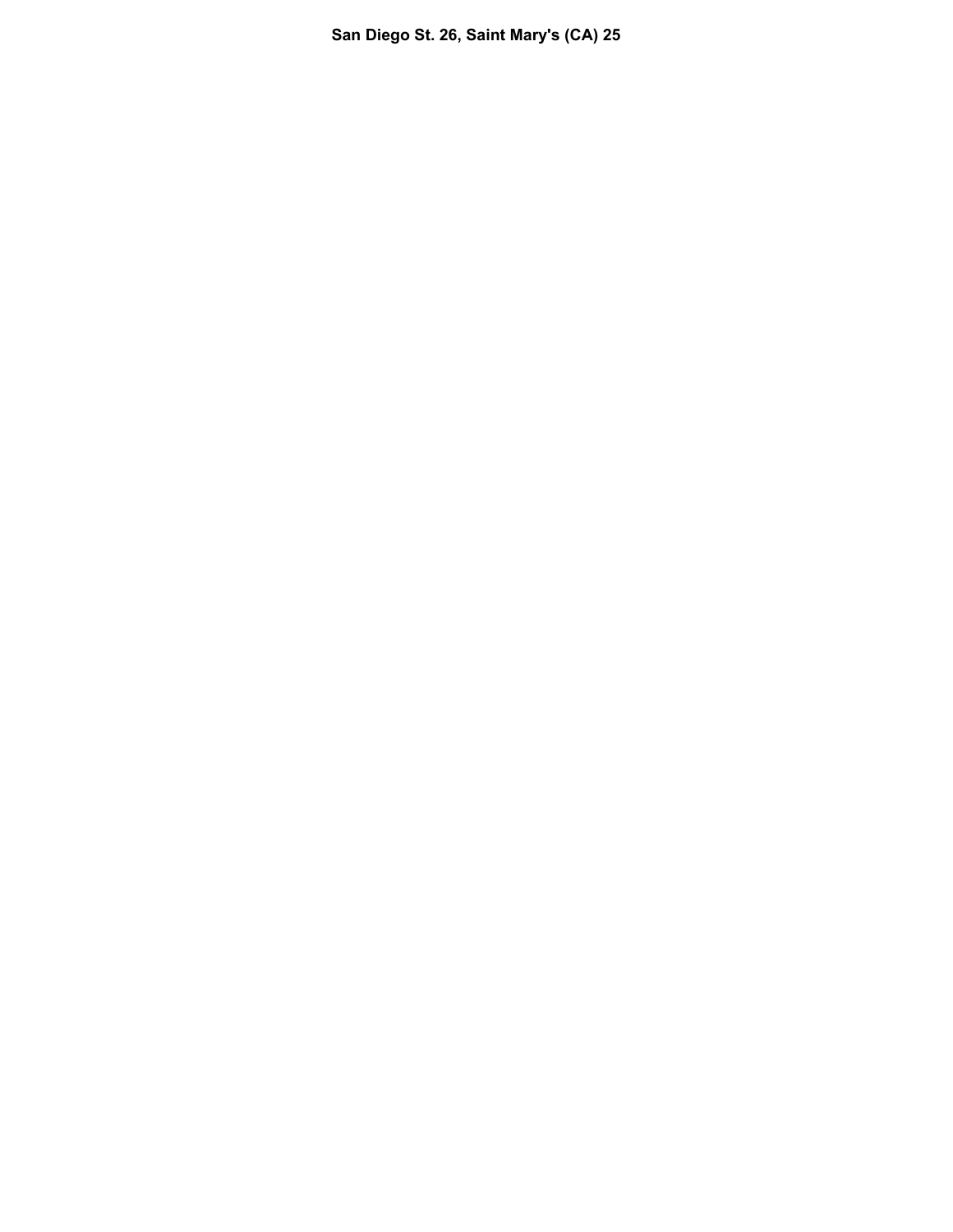**San Diego St. 26, Saint Mary's (CA) 25**